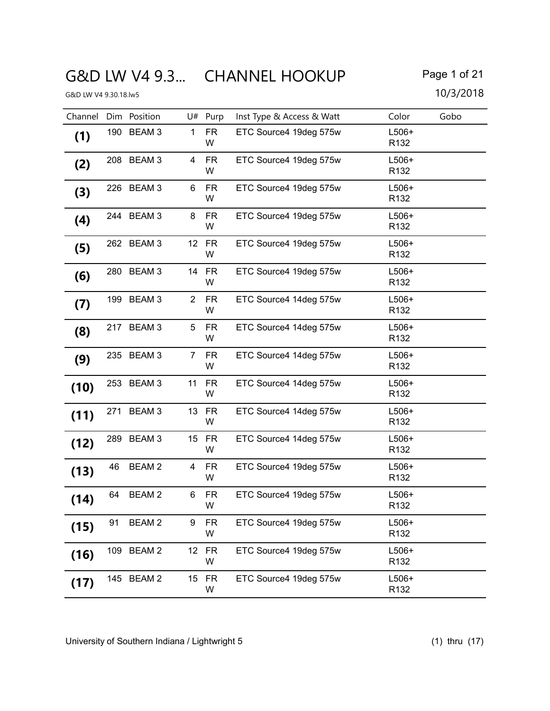## G&D LW V4 9.3... CHANNEL HOOKUP Page 1 of 21

| Channel |     | Dim Position |                 | U# Purp        | Inst Type & Access & Watt | Color                       | Gobo |
|---------|-----|--------------|-----------------|----------------|---------------------------|-----------------------------|------|
| (1)     |     | 190 BEAM 3   | 1               | <b>FR</b><br>W | ETC Source4 19deg 575w    | $L506+$<br>R <sub>132</sub> |      |
| (2)     |     | 208 BEAM 3   | 4               | <b>FR</b><br>W | ETC Source4 19deg 575w    | $L506+$<br>R <sub>132</sub> |      |
| (3)     |     | 226 BEAM 3   | 6               | <b>FR</b><br>W | ETC Source4 19deg 575w    | $L506+$<br>R <sub>132</sub> |      |
| (4)     |     | 244 BEAM 3   | 8               | <b>FR</b><br>W | ETC Source4 19deg 575w    | $L506+$<br>R <sub>132</sub> |      |
| (5)     |     | 262 BEAM 3   |                 | 12 FR<br>W     | ETC Source4 19deg 575w    | $L506+$<br>R <sub>132</sub> |      |
| (6)     |     | 280 BEAM 3   |                 | 14 FR<br>W     | ETC Source4 19deg 575w    | $L506+$<br>R <sub>132</sub> |      |
| (7)     | 199 | BEAM 3       | $\overline{2}$  | <b>FR</b><br>W | ETC Source4 14deg 575w    | $L506+$<br>R <sub>132</sub> |      |
| (8)     |     | 217 BEAM 3   | 5               | FR.<br>W       | ETC Source4 14deg 575w    | $L506+$<br>R <sub>132</sub> |      |
| (9)     |     | 235 BEAM 3   | $\overline{7}$  | <b>FR</b><br>W | ETC Source4 14deg 575w    | $L506+$<br>R <sub>132</sub> |      |
| (10)    |     | 253 BEAM 3   | 11              | <b>FR</b><br>W | ETC Source4 14deg 575w    | $L506+$<br>R <sub>132</sub> |      |
| (11)    | 271 | <b>BEAM3</b> |                 | 13 FR<br>W     | ETC Source4 14deg 575w    | $L506+$<br>R <sub>132</sub> |      |
| (12)    | 289 | BEAM 3       |                 | 15 FR<br>W     | ETC Source4 14deg 575w    | $L506+$<br>R <sub>132</sub> |      |
| (13)    | 46  | <b>BEAM2</b> | 4               | <b>FR</b><br>W | ETC Source4 19deg 575w    | $L506+$<br>R <sub>132</sub> |      |
| (14)    | 64  | <b>BEAM2</b> | 6               | FR<br>W        | ETC Source4 19deg 575w    | $L506+$<br>R <sub>132</sub> |      |
| (15)    | 91  | <b>BEAM2</b> | 9               | FR<br>W        | ETC Source4 19deg 575w    | $L506+$<br>R <sub>132</sub> |      |
| (16)    | 109 | BEAM 2       | 12 <sub>2</sub> | FR<br>W        | ETC Source4 19deg 575w    | $L506+$<br>R <sub>132</sub> |      |
| (17)    |     | 145 BEAM 2   |                 | 15 FR<br>W     | ETC Source4 19deg 575w    | $L506+$<br>R <sub>132</sub> |      |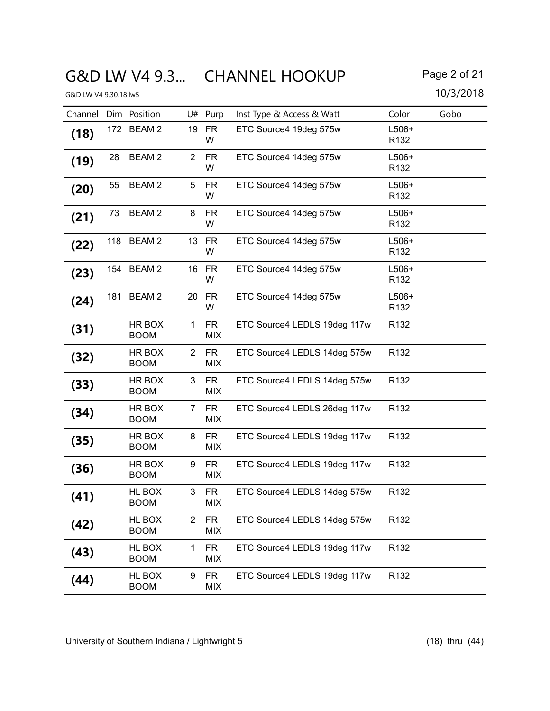## G&D LW V4 9.3... CHANNEL HOOKUP Page 2 of 21

| Channel |    | Dim Position          |                | U# Purp                 | Inst Type & Access & Watt    | Color                       | Gobo |
|---------|----|-----------------------|----------------|-------------------------|------------------------------|-----------------------------|------|
| (18)    |    | 172 BEAM 2            |                | 19 FR<br>W              | ETC Source4 19deg 575w       | $L506+$<br>R <sub>132</sub> |      |
| (19)    | 28 | <b>BEAM2</b>          | $\overline{2}$ | <b>FR</b><br>W          | ETC Source4 14deg 575w       | $L506+$<br>R <sub>132</sub> |      |
| (20)    | 55 | <b>BEAM2</b>          | 5              | FR.<br>W                | ETC Source4 14deg 575w       | $L506+$<br>R <sub>132</sub> |      |
| (21)    | 73 | <b>BEAM2</b>          | 8              | <b>FR</b><br>W          | ETC Source4 14deg 575w       | $L506+$<br>R <sub>132</sub> |      |
| (22)    |    | 118 BEAM 2            | 13             | <b>FR</b><br>W          | ETC Source4 14deg 575w       | $L506+$<br>R <sub>132</sub> |      |
| (23)    |    | 154 BEAM 2            |                | 16 FR<br>W              | ETC Source4 14deg 575w       | $L506+$<br>R <sub>132</sub> |      |
| (24)    |    | 181 BEAM 2            |                | 20 FR<br>W              | ETC Source4 14deg 575w       | $L506+$<br>R <sub>132</sub> |      |
| (31)    |    | HR BOX<br><b>BOOM</b> | 1              | <b>FR</b><br><b>MIX</b> | ETC Source4 LEDLS 19deg 117w | R <sub>132</sub>            |      |
| (32)    |    | HR BOX<br><b>BOOM</b> | $\overline{2}$ | <b>FR</b><br><b>MIX</b> | ETC Source4 LEDLS 14deg 575w | R <sub>132</sub>            |      |
| (33)    |    | HR BOX<br><b>BOOM</b> | 3              | <b>FR</b><br><b>MIX</b> | ETC Source4 LEDLS 14deg 575w | R <sub>132</sub>            |      |
| (34)    |    | HR BOX<br><b>BOOM</b> | $\overline{7}$ | <b>FR</b><br><b>MIX</b> | ETC Source4 LEDLS 26deg 117w | R <sub>132</sub>            |      |
| (35)    |    | HR BOX<br><b>BOOM</b> | 8              | FR<br><b>MIX</b>        | ETC Source4 LEDLS 19deg 117w | R <sub>132</sub>            |      |
| (36)    |    | HR BOX<br><b>BOOM</b> | 9              | <b>FR</b><br>MIX        | ETC Source4 LEDLS 19deg 117w | R <sub>132</sub>            |      |
| (41)    |    | HL BOX<br><b>BOOM</b> | 3              | <b>FR</b><br>MIX        | ETC Source4 LEDLS 14deg 575w | R132                        |      |
| (42)    |    | HL BOX<br><b>BOOM</b> | $\overline{2}$ | <b>FR</b><br><b>MIX</b> | ETC Source4 LEDLS 14deg 575w | R <sub>132</sub>            |      |
| (43)    |    | HL BOX<br><b>BOOM</b> | 1              | <b>FR</b><br>MIX        | ETC Source4 LEDLS 19deg 117w | R132                        |      |
| (44)    |    | HL BOX<br><b>BOOM</b> | 9              | FR<br>MIX               | ETC Source4 LEDLS 19deg 117w | R <sub>132</sub>            |      |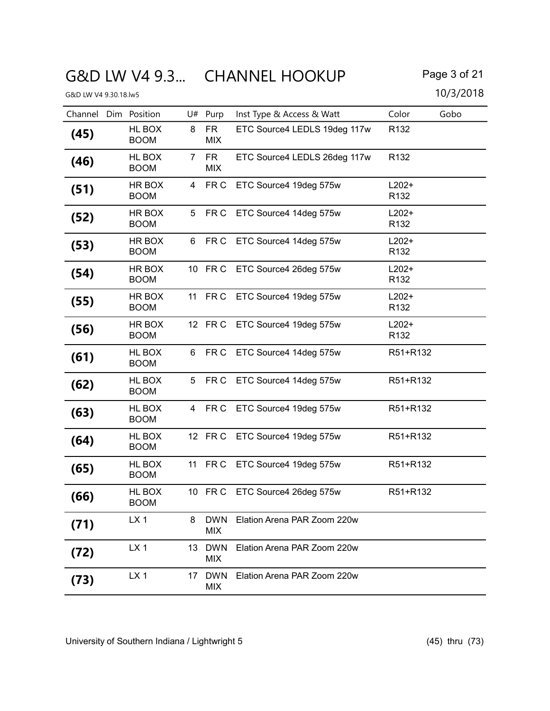## G&D LW V4 9.3... CHANNEL HOOKUP Page 3 of 21

| 10/3/2018<br>G&D LW V4 9.30.18.lw5 |  |                       |                |                          |                                |                             |      |  |  |  |
|------------------------------------|--|-----------------------|----------------|--------------------------|--------------------------------|-----------------------------|------|--|--|--|
|                                    |  | Channel Dim Position  |                | $U#$ Purp                | Inst Type & Access & Watt      | Color                       | Gobo |  |  |  |
| (45)                               |  | HL BOX<br><b>BOOM</b> | 8              | <b>FR</b><br><b>MIX</b>  | ETC Source4 LEDLS 19deg 117w   | R <sub>132</sub>            |      |  |  |  |
| (46)                               |  | HL BOX<br><b>BOOM</b> | $\overline{7}$ | <b>FR</b><br><b>MIX</b>  | ETC Source4 LEDLS 26deg 117w   | R <sub>132</sub>            |      |  |  |  |
| (51)                               |  | HR BOX<br><b>BOOM</b> | 4              | FR C                     | ETC Source4 19deg 575w         | $L202+$<br>R <sub>132</sub> |      |  |  |  |
| (52)                               |  | HR BOX<br><b>BOOM</b> | 5              | FR C                     | ETC Source4 14deg 575w         | $L202+$<br>R <sub>132</sub> |      |  |  |  |
| (53)                               |  | HR BOX<br><b>BOOM</b> | 6              | FR C                     | ETC Source4 14deg 575w         | $L202+$<br>R <sub>132</sub> |      |  |  |  |
| (54)                               |  | HR BOX<br><b>BOOM</b> |                |                          | 10 FR C ETC Source4 26deg 575w | $L202+$<br>R <sub>132</sub> |      |  |  |  |
| (55)                               |  | HR BOX<br><b>BOOM</b> |                |                          | 11 FR C ETC Source4 19deg 575w | $L202+$<br>R <sub>132</sub> |      |  |  |  |
| (56)                               |  | HR BOX<br><b>BOOM</b> |                |                          | 12 FR C ETC Source4 19deg 575w | $L202+$<br>R <sub>132</sub> |      |  |  |  |
| (61)                               |  | HL BOX<br><b>BOOM</b> | 6              | FR C                     | ETC Source4 14deg 575w         | R51+R132                    |      |  |  |  |
| (62)                               |  | HL BOX<br><b>BOOM</b> | 5              |                          | FR C ETC Source4 14deg 575w    | R51+R132                    |      |  |  |  |
| (63)                               |  | HL BOX<br><b>BOOM</b> | 4              |                          | FR C ETC Source4 19deg 575w    | R51+R132                    |      |  |  |  |
| (64)                               |  | HL BOX<br><b>BOOM</b> |                |                          | 12 FR C ETC Source4 19deg 575w | R51+R132                    |      |  |  |  |
| (65)                               |  | HL BOX<br><b>BOOM</b> | 11             |                          | FR C ETC Source4 19deg 575w    | R51+R132                    |      |  |  |  |
| (66)                               |  | HL BOX<br><b>BOOM</b> |                |                          | 10 FR C ETC Source4 26deg 575w | R51+R132                    |      |  |  |  |
| (71)                               |  | LX <sub>1</sub>       | 8              | <b>DWN</b><br><b>MIX</b> | Elation Arena PAR Zoom 220w    |                             |      |  |  |  |
| (72)                               |  | LX <sub>1</sub>       | 13             | <b>DWN</b><br><b>MIX</b> | Elation Arena PAR Zoom 220w    |                             |      |  |  |  |
| (73)                               |  | LX <sub>1</sub>       | 17             | <b>DWN</b><br><b>MIX</b> | Elation Arena PAR Zoom 220w    |                             |      |  |  |  |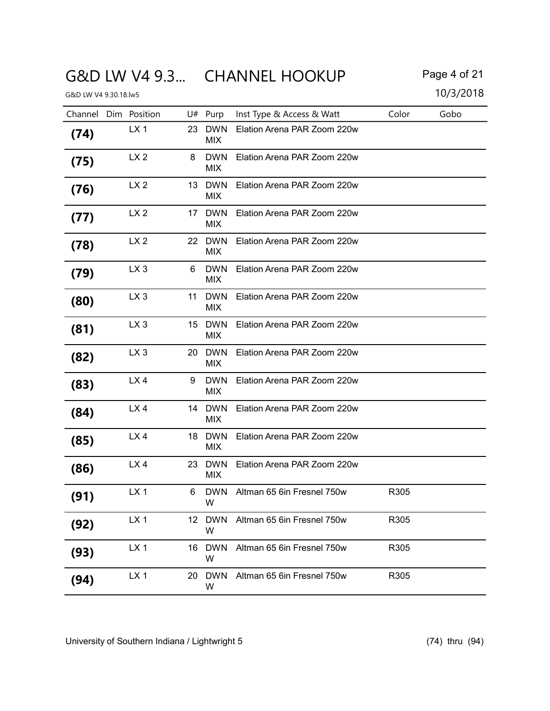## G&D LW V4 9.3... CHANNEL HOOKUP Page 4 of 21

|      | Channel Dim Position |    | U# Purp                  | Inst Type & Access & Watt   | Color | Gobo |
|------|----------------------|----|--------------------------|-----------------------------|-------|------|
| (74) | LX <sub>1</sub>      | 23 | <b>DWN</b><br><b>MIX</b> | Elation Arena PAR Zoom 220w |       |      |
| (75) | LX <sub>2</sub>      | 8  | <b>DWN</b><br><b>MIX</b> | Elation Arena PAR Zoom 220w |       |      |
| (76) | LX <sub>2</sub>      |    | 13 DWN<br><b>MIX</b>     | Elation Arena PAR Zoom 220w |       |      |
| (77) | LX <sub>2</sub>      |    | 17 DWN<br><b>MIX</b>     | Elation Arena PAR Zoom 220w |       |      |
| (78) | LX <sub>2</sub>      |    | 22 DWN<br><b>MIX</b>     | Elation Arena PAR Zoom 220w |       |      |
| (79) | LX <sub>3</sub>      | 6  | DWN<br><b>MIX</b>        | Elation Arena PAR Zoom 220w |       |      |
| (80) | LX <sub>3</sub>      | 11 | <b>DWN</b><br><b>MIX</b> | Elation Arena PAR Zoom 220w |       |      |
| (81) | LX <sub>3</sub>      |    | 15 DWN<br><b>MIX</b>     | Elation Arena PAR Zoom 220w |       |      |
| (82) | LX <sub>3</sub>      |    | 20 DWN<br><b>MIX</b>     | Elation Arena PAR Zoom 220w |       |      |
| (83) | LX4                  | 9  | <b>DWN</b><br><b>MIX</b> | Elation Arena PAR Zoom 220w |       |      |
| (84) | LX4                  |    | 14 DWN<br><b>MIX</b>     | Elation Arena PAR Zoom 220w |       |      |
| (85) | LX4                  |    | 18 DWN<br><b>MIX</b>     | Elation Arena PAR Zoom 220w |       |      |
| (86) | LX4                  |    | 23 DWN<br><b>MIX</b>     | Elation Arena PAR Zoom 220w |       |      |
| (91) | LX <sub>1</sub>      | 6  | DWN<br>W                 | Altman 65 6in Fresnel 750w  | R305  |      |
| (92) | LX <sub>1</sub>      |    | 12 DWN<br>W              | Altman 65 6in Fresnel 750w  | R305  |      |
| (93) | LX <sub>1</sub>      | 16 | <b>DWN</b><br>W          | Altman 65 6in Fresnel 750w  | R305  |      |
| (94) | LX <sub>1</sub>      |    | 20 DWN<br>W              | Altman 65 6in Fresnel 750w  | R305  |      |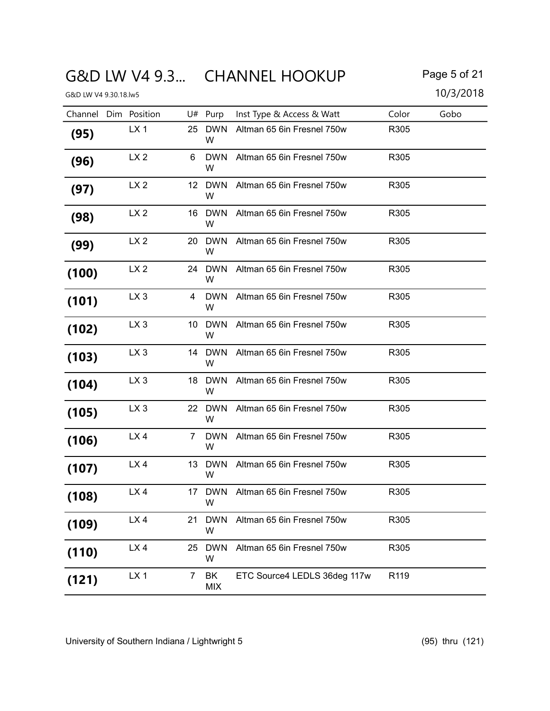## G&D LW V4 9.3... CHANNEL HOOKUP Page 5 of 21

|                      | G&D LW V4 9.30.18.lw5 |                 |                |                  |                                   |                  |      |  |  |  |  |
|----------------------|-----------------------|-----------------|----------------|------------------|-----------------------------------|------------------|------|--|--|--|--|
| Channel Dim Position |                       |                 |                | U# Purp          | Inst Type & Access & Watt         | Color            | Gobo |  |  |  |  |
| (95)                 |                       | LX <sub>1</sub> | 25             | <b>DWN</b><br>W  | Altman 65 6in Fresnel 750w        | R305             |      |  |  |  |  |
| (96)                 |                       | LX <sub>2</sub> | 6              | <b>DWN</b><br>W  | Altman 65 6in Fresnel 750w        | R305             |      |  |  |  |  |
| (97)                 |                       | LX <sub>2</sub> |                | 12 DWN<br>W      | Altman 65 6in Fresnel 750w        | R305             |      |  |  |  |  |
| (98)                 |                       | LX <sub>2</sub> |                | 16 DWN<br>W      | Altman 65 6in Fresnel 750w        | R305             |      |  |  |  |  |
| (99)                 |                       | LX <sub>2</sub> | 20             | <b>DWN</b><br>W  | Altman 65 6in Fresnel 750w        | R <sub>305</sub> |      |  |  |  |  |
| (100)                |                       | LX <sub>2</sub> | 24             | <b>DWN</b><br>W  | Altman 65 6in Fresnel 750w        | R305             |      |  |  |  |  |
| (101)                |                       | LX <sub>3</sub> | 4              | <b>DWN</b><br>W  | Altman 65 6in Fresnel 750w        | R305             |      |  |  |  |  |
| (102)                |                       | LX <sub>3</sub> | 10             | <b>DWN</b><br>W  | Altman 65 6in Fresnel 750w        | R305             |      |  |  |  |  |
| (103)                |                       | LX <sub>3</sub> |                | 14 DWN<br>W      | Altman 65 6in Fresnel 750w        | R305             |      |  |  |  |  |
| (104)                |                       | LX <sub>3</sub> |                | 18 DWN<br>W      | Altman 65 6in Fresnel 750w        | R305             |      |  |  |  |  |
| (105)                |                       | LX <sub>3</sub> | 22             | <b>DWN</b><br>W  | Altman 65 6in Fresnel 750w        | R305             |      |  |  |  |  |
| (106)                |                       | LX4             | $\overline{7}$ | <b>DWN</b><br>W  | Altman 65 6in Fresnel 750w        | R305             |      |  |  |  |  |
| (107)                |                       | LX4             | 13             | <b>DWN</b><br>W  | Altman 65 6in Fresnel 750w        | R305             |      |  |  |  |  |
| (108)                |                       | LX4             |                | W                | 17 DWN Altman 65 6in Fresnel 750w | R305             |      |  |  |  |  |
| (109)                |                       | LX4             | 21             | <b>DWN</b><br>W  | Altman 65 6in Fresnel 750w        | R305             |      |  |  |  |  |
| (110)                |                       | LX4             | 25             | <b>DWN</b><br>W  | Altman 65 6in Fresnel 750w        | R305             |      |  |  |  |  |
| (121)                |                       | LX <sub>1</sub> | 7              | BK<br><b>MIX</b> | ETC Source4 LEDLS 36deg 117w      | R <sub>119</sub> |      |  |  |  |  |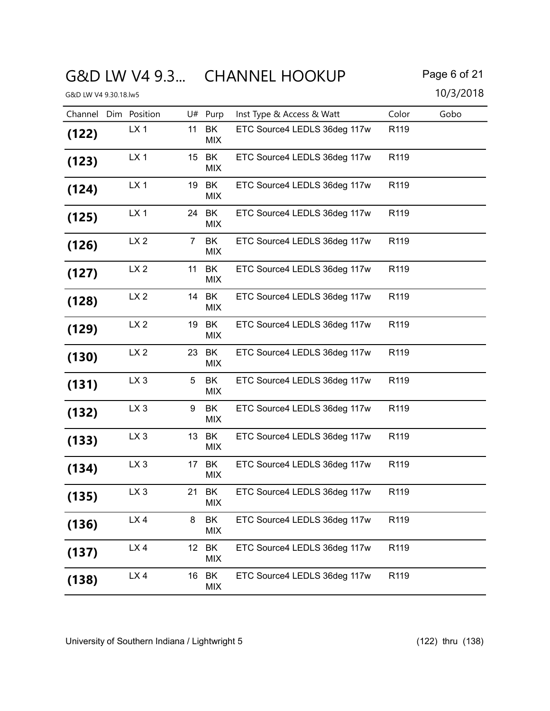## G&D LW V4 9.3... CHANNEL HOOKUP Page 6 of 21

|       | G&D LW V4 9.30.18.lw5 |                      |                |                     |                              |                  |      |  |  |  |  |
|-------|-----------------------|----------------------|----------------|---------------------|------------------------------|------------------|------|--|--|--|--|
|       |                       | Channel Dim Position |                | U# Purp             | Inst Type & Access & Watt    | Color            | Gobo |  |  |  |  |
| (122) |                       | LX <sub>1</sub>      | 11             | BK<br><b>MIX</b>    | ETC Source4 LEDLS 36deg 117w | R <sub>119</sub> |      |  |  |  |  |
| (123) |                       | LX <sub>1</sub>      |                | 15 BK<br><b>MIX</b> | ETC Source4 LEDLS 36deg 117w | R119             |      |  |  |  |  |
| (124) |                       | LX <sub>1</sub>      | 19             | BK<br><b>MIX</b>    | ETC Source4 LEDLS 36deg 117w | R119             |      |  |  |  |  |
| (125) |                       | LX <sub>1</sub>      |                | 24 BK<br><b>MIX</b> | ETC Source4 LEDLS 36deg 117w | R119             |      |  |  |  |  |
| (126) |                       | LX <sub>2</sub>      | $7\phantom{.}$ | BK<br><b>MIX</b>    | ETC Source4 LEDLS 36deg 117w | R119             |      |  |  |  |  |
| (127) |                       | LX <sub>2</sub>      | 11             | BK<br><b>MIX</b>    | ETC Source4 LEDLS 36deg 117w | R119             |      |  |  |  |  |
| (128) |                       | LX <sub>2</sub>      |                | 14 BK<br><b>MIX</b> | ETC Source4 LEDLS 36deg 117w | R119             |      |  |  |  |  |
| (129) |                       | LX <sub>2</sub>      | 19             | BK<br><b>MIX</b>    | ETC Source4 LEDLS 36deg 117w | R119             |      |  |  |  |  |
| (130) |                       | LX <sub>2</sub>      |                | 23 BK<br><b>MIX</b> | ETC Source4 LEDLS 36deg 117w | R <sub>119</sub> |      |  |  |  |  |
| (131) |                       | LX <sub>3</sub>      | 5              | BK<br><b>MIX</b>    | ETC Source4 LEDLS 36deg 117w | R119             |      |  |  |  |  |
| (132) |                       | LX <sub>3</sub>      | 9              | BK<br><b>MIX</b>    | ETC Source4 LEDLS 36deg 117w | R <sub>119</sub> |      |  |  |  |  |
| (133) |                       | LX <sub>3</sub>      |                | 13 BK<br><b>MIX</b> | ETC Source4 LEDLS 36deg 117w | R <sub>119</sub> |      |  |  |  |  |
| (134) |                       | LX <sub>3</sub>      | 17             | BK<br><b>MIX</b>    | ETC Source4 LEDLS 36deg 117w | R119             |      |  |  |  |  |
| (135) |                       | LX <sub>3</sub>      |                | 21 BK<br><b>MIX</b> | ETC Source4 LEDLS 36deg 117w | R119             |      |  |  |  |  |
| (136) |                       | LX4                  | 8              | BK<br><b>MIX</b>    | ETC Source4 LEDLS 36deg 117w | R119             |      |  |  |  |  |
| (137) |                       | LX4                  |                | 12 BK<br><b>MIX</b> | ETC Source4 LEDLS 36deg 117w | R119             |      |  |  |  |  |
| (138) |                       | LX4                  | 16             | BK<br><b>MIX</b>    | ETC Source4 LEDLS 36deg 117w | R119             |      |  |  |  |  |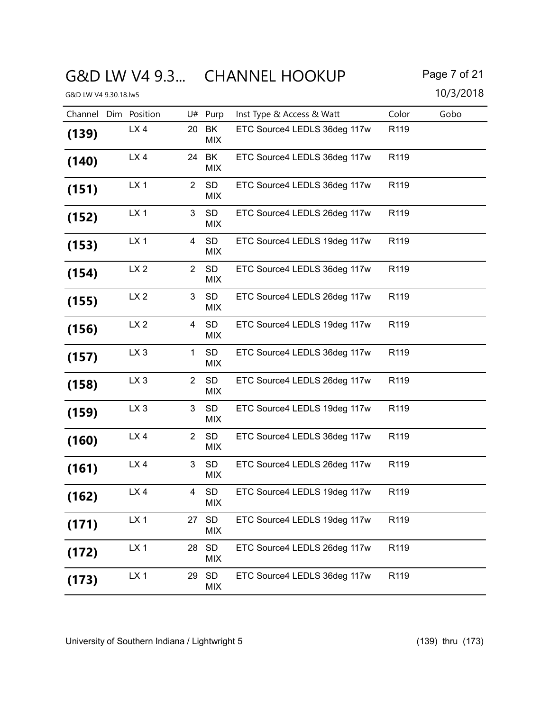## G&D LW V4 9.3... CHANNEL HOOKUP Page 7 of 21

|       | G&D LW V4 9.30.18.lw5 |                      |                |                         |                              |                  |      |  |  |  |  |
|-------|-----------------------|----------------------|----------------|-------------------------|------------------------------|------------------|------|--|--|--|--|
|       |                       | Channel Dim Position |                | U# Purp                 | Inst Type & Access & Watt    | Color            | Gobo |  |  |  |  |
| (139) |                       | LX4                  | 20             | BK<br><b>MIX</b>        | ETC Source4 LEDLS 36deg 117w | R <sub>119</sub> |      |  |  |  |  |
| (140) |                       | LX4                  |                | 24 BK<br><b>MIX</b>     | ETC Source4 LEDLS 36deg 117w | R119             |      |  |  |  |  |
| (151) |                       | LX <sub>1</sub>      | $\overline{2}$ | <b>SD</b><br><b>MIX</b> | ETC Source4 LEDLS 36deg 117w | R <sub>119</sub> |      |  |  |  |  |
| (152) |                       | LX <sub>1</sub>      | 3              | <b>SD</b><br><b>MIX</b> | ETC Source4 LEDLS 26deg 117w | R <sub>119</sub> |      |  |  |  |  |
| (153) |                       | LX <sub>1</sub>      | 4              | <b>SD</b><br><b>MIX</b> | ETC Source4 LEDLS 19deg 117w | R119             |      |  |  |  |  |
| (154) |                       | LX <sub>2</sub>      | $\overline{2}$ | <b>SD</b><br><b>MIX</b> | ETC Source4 LEDLS 36deg 117w | R119             |      |  |  |  |  |
| (155) |                       | LX <sub>2</sub>      | 3              | <b>SD</b><br><b>MIX</b> | ETC Source4 LEDLS 26deg 117w | R <sub>119</sub> |      |  |  |  |  |
| (156) |                       | LX <sub>2</sub>      | 4              | <b>SD</b><br><b>MIX</b> | ETC Source4 LEDLS 19deg 117w | R <sub>119</sub> |      |  |  |  |  |
| (157) |                       | LX <sub>3</sub>      | 1              | <b>SD</b><br><b>MIX</b> | ETC Source4 LEDLS 36deg 117w | R119             |      |  |  |  |  |
| (158) |                       | LX <sub>3</sub>      | $\overline{2}$ | <b>SD</b><br><b>MIX</b> | ETC Source4 LEDLS 26deg 117w | R119             |      |  |  |  |  |
| (159) |                       | LX <sub>3</sub>      | 3              | <b>SD</b><br><b>MIX</b> | ETC Source4 LEDLS 19deg 117w | R <sub>119</sub> |      |  |  |  |  |
| (160) |                       | LX4                  | 2              | <b>SD</b><br><b>MIX</b> | ETC Source4 LEDLS 36deg 117w | R <sub>119</sub> |      |  |  |  |  |
| (161) |                       | LX4                  | 3              | <b>SD</b><br><b>MIX</b> | ETC Source4 LEDLS 26deg 117w | R119             |      |  |  |  |  |
| (162) |                       | LX4                  | 4              | <b>SD</b><br><b>MIX</b> | ETC Source4 LEDLS 19deg 117w | R <sub>119</sub> |      |  |  |  |  |
| (171) |                       | LX <sub>1</sub>      | 27             | SD<br><b>MIX</b>        | ETC Source4 LEDLS 19deg 117w | R119             |      |  |  |  |  |
| (172) |                       | LX <sub>1</sub>      | 28             | SD<br>MIX               | ETC Source4 LEDLS 26deg 117w | R119             |      |  |  |  |  |
| (173) |                       | LX <sub>1</sub>      | 29             | <b>SD</b><br><b>MIX</b> | ETC Source4 LEDLS 36deg 117w | R119             |      |  |  |  |  |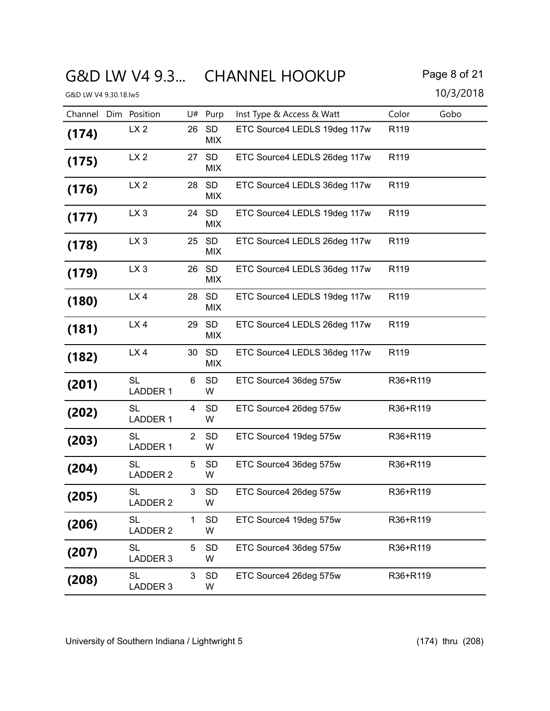## G&D LW V4 9.3... CHANNEL HOOKUP Page 8 of 21

|       | 10/3/2018<br>G&D LW V4 9.30.18.lw5 |                              |                |                         |                              |                  |      |  |  |  |  |
|-------|------------------------------------|------------------------------|----------------|-------------------------|------------------------------|------------------|------|--|--|--|--|
|       |                                    | Channel Dim Position         |                | U# Purp                 | Inst Type & Access & Watt    | Color            | Gobo |  |  |  |  |
| (174) |                                    | LX <sub>2</sub>              | 26             | <b>SD</b><br><b>MIX</b> | ETC Source4 LEDLS 19deg 117w | R <sub>119</sub> |      |  |  |  |  |
| (175) |                                    | LX <sub>2</sub>              | 27             | <b>SD</b><br><b>MIX</b> | ETC Source4 LEDLS 26deg 117w | R119             |      |  |  |  |  |
| (176) |                                    | LX <sub>2</sub>              | 28             | <b>SD</b><br><b>MIX</b> | ETC Source4 LEDLS 36deg 117w | R <sub>119</sub> |      |  |  |  |  |
| (177) |                                    | LX <sub>3</sub>              | 24             | <b>SD</b><br><b>MIX</b> | ETC Source4 LEDLS 19deg 117w | R119             |      |  |  |  |  |
| (178) |                                    | LX <sub>3</sub>              |                | 25 SD<br><b>MIX</b>     | ETC Source4 LEDLS 26deg 117w | R <sub>119</sub> |      |  |  |  |  |
| (179) |                                    | LX <sub>3</sub>              | 26             | <b>SD</b><br><b>MIX</b> | ETC Source4 LEDLS 36deg 117w | R119             |      |  |  |  |  |
| (180) |                                    | LX4                          |                | 28 SD<br><b>MIX</b>     | ETC Source4 LEDLS 19deg 117w | R119             |      |  |  |  |  |
| (181) |                                    | LX4                          |                | 29 SD<br><b>MIX</b>     | ETC Source4 LEDLS 26deg 117w | R119             |      |  |  |  |  |
| (182) |                                    | LX4                          | 30             | SD<br><b>MIX</b>        | ETC Source4 LEDLS 36deg 117w | R119             |      |  |  |  |  |
| (201) |                                    | <b>SL</b><br><b>LADDER 1</b> | 6              | <b>SD</b><br>W          | ETC Source4 36deg 575w       | R36+R119         |      |  |  |  |  |
| (202) |                                    | <b>SL</b><br><b>LADDER 1</b> | 4              | <b>SD</b><br>W          | ETC Source4 26deg 575w       | R36+R119         |      |  |  |  |  |
| (203) |                                    | <b>SL</b><br>LADDER 1        | $\overline{2}$ | <b>SD</b><br>W          | ETC Source4 19deg 575w       | R36+R119         |      |  |  |  |  |
| (204) |                                    | <b>SL</b><br><b>LADDER 2</b> | 5              | <b>SD</b><br>W          | ETC Source4 36deg 575w       | R36+R119         |      |  |  |  |  |
| (205) |                                    | <b>SL</b><br>LADDER 2        | 3              | <b>SD</b><br>W          | ETC Source4 26deg 575w       | R36+R119         |      |  |  |  |  |
| (206) |                                    | <b>SL</b><br><b>LADDER 2</b> | $\mathbf{1}$   | <b>SD</b><br>W          | ETC Source4 19deg 575w       | R36+R119         |      |  |  |  |  |
| (207) |                                    | <b>SL</b><br>LADDER 3        | 5              | <b>SD</b><br>W          | ETC Source4 36deg 575w       | R36+R119         |      |  |  |  |  |
| (208) |                                    | <b>SL</b><br>LADDER 3        | 3              | <b>SD</b><br>W          | ETC Source4 26deg 575w       | R36+R119         |      |  |  |  |  |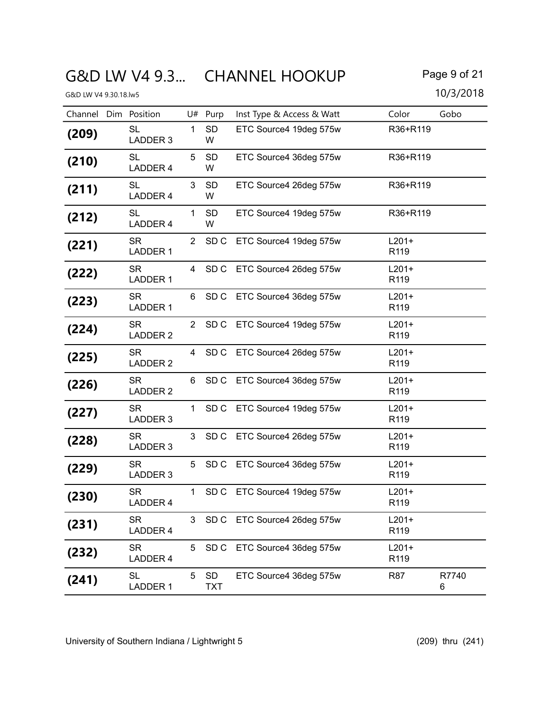## G&D LW V4 9.3... CHANNEL HOOKUP Page 9 of 21

|       | Channel Dim Position         |                       | U# Purp          | Inst Type & Access & Watt   | Color                       | Gobo       |
|-------|------------------------------|-----------------------|------------------|-----------------------------|-----------------------------|------------|
| (209) | <b>SL</b><br>LADDER 3        | 1                     | <b>SD</b><br>W   | ETC Source4 19deg 575w      | R36+R119                    |            |
| (210) | <b>SL</b><br><b>LADDER 4</b> | 5                     | <b>SD</b><br>W   | ETC Source4 36deg 575w      | R36+R119                    |            |
| (211) | <b>SL</b><br><b>LADDER 4</b> | 3                     | <b>SD</b><br>W   | ETC Source4 26deg 575w      | R36+R119                    |            |
| (212) | <b>SL</b><br>LADDER 4        | 1                     | <b>SD</b><br>W   | ETC Source4 19deg 575w      | R36+R119                    |            |
| (221) | <b>SR</b><br><b>LADDER 1</b> | $\mathbf{2}^{\prime}$ | SD C             | ETC Source4 19deg 575w      | $L201+$<br>R <sub>119</sub> |            |
| (222) | <b>SR</b><br><b>LADDER 1</b> | 4                     | SD C             | ETC Source4 26deg 575w      | $L201+$<br>R <sub>119</sub> |            |
| (223) | SR.<br><b>LADDER 1</b>       | 6                     | SD <sub>C</sub>  | ETC Source4 36deg 575w      | $L201+$<br>R <sub>119</sub> |            |
| (224) | <b>SR</b><br><b>LADDER 2</b> | $\overline{2}$        | SD <sub>C</sub>  | ETC Source4 19deg 575w      | $L201+$<br>R119             |            |
| (225) | <b>SR</b><br><b>LADDER 2</b> | 4                     | SD C             | ETC Source4 26deg 575w      | $L201+$<br>R <sub>119</sub> |            |
| (226) | <b>SR</b><br><b>LADDER 2</b> | 6                     |                  | SD C ETC Source4 36deg 575w | $L201+$<br>R <sub>119</sub> |            |
| (227) | <b>SR</b><br>LADDER 3        | 1                     | SD C             | ETC Source4 19deg 575w      | $L201+$<br>R <sub>119</sub> |            |
| (228) | <b>SR</b><br>LADDER 3        | 3                     | SD <sub>C</sub>  | ETC Source4 26deg 575w      | $L201+$<br>R <sub>119</sub> |            |
| (229) | <b>SR</b><br>LADDER 3        | 5                     | SD <sub>C</sub>  | ETC Source4 36deg 575w      | $L201+$<br>R <sub>119</sub> |            |
| (230) | <b>SR</b><br>LADDER 4        | 1                     | SD <sub>C</sub>  | ETC Source4 19deg 575w      | $L201+$<br>R119             |            |
| (231) | <b>SR</b><br>LADDER 4        | 3                     | SD C             | ETC Source4 26deg 575w      | $L201+$<br>R <sub>119</sub> |            |
| (232) | <b>SR</b><br><b>LADDER 4</b> | 5                     | SD <sub>C</sub>  | ETC Source4 36deg 575w      | $L201+$<br>R <sub>119</sub> |            |
| (241) | <b>SL</b><br><b>LADDER 1</b> | 5                     | SD<br><b>TXT</b> | ETC Source4 36deg 575w      | <b>R87</b>                  | R7740<br>6 |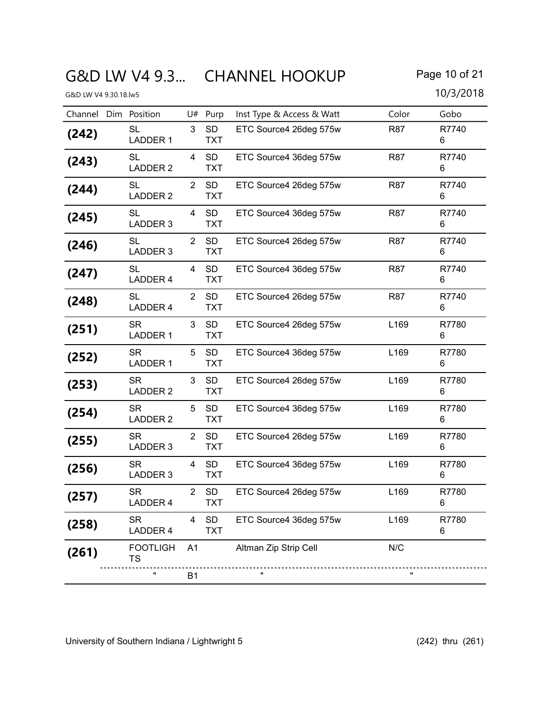## G&D LW V4 9.3... CHANNEL HOOKUP Page 10 of 21

| Channel Dim Position |                              | U#             | Purp                    | Inst Type & Access & Watt | Color      | Gobo       |
|----------------------|------------------------------|----------------|-------------------------|---------------------------|------------|------------|
| (242)                | <b>SL</b><br><b>LADDER 1</b> | 3              | <b>SD</b><br><b>TXT</b> | ETC Source4 26deg 575w    | R87        | R7740<br>6 |
| (243)                | <b>SL</b><br><b>LADDER 2</b> | 4              | <b>SD</b><br><b>TXT</b> | ETC Source4 36deg 575w    | R87        | R7740<br>6 |
| (244)                | <b>SL</b><br><b>LADDER 2</b> | $\overline{2}$ | <b>SD</b><br><b>TXT</b> | ETC Source4 26deg 575w    | <b>R87</b> | R7740<br>6 |
| (245)                | <b>SL</b><br>LADDER 3        | 4              | <b>SD</b><br><b>TXT</b> | ETC Source4 36deg 575w    | R87        | R7740<br>6 |
| (246)                | <b>SL</b><br>LADDER 3        | $\overline{2}$ | <b>SD</b><br><b>TXT</b> | ETC Source4 26deg 575w    | <b>R87</b> | R7740<br>6 |
| (247)                | <b>SL</b><br><b>LADDER 4</b> | 4              | <b>SD</b><br><b>TXT</b> | ETC Source4 36deg 575w    | <b>R87</b> | R7740<br>6 |
| (248)                | <b>SL</b><br><b>LADDER 4</b> | $\overline{2}$ | <b>SD</b><br><b>TXT</b> | ETC Source4 26deg 575w    | <b>R87</b> | R7740<br>6 |
| (251)                | <b>SR</b><br><b>LADDER 1</b> | 3              | <b>SD</b><br><b>TXT</b> | ETC Source4 26deg 575w    | L169       | R7780<br>6 |
| (252)                | <b>SR</b><br><b>LADDER 1</b> | 5              | <b>SD</b><br><b>TXT</b> | ETC Source4 36deg 575w    | L169       | R7780<br>6 |
| (253)                | <b>SR</b><br><b>LADDER 2</b> | 3              | <b>SD</b><br><b>TXT</b> | ETC Source4 26deg 575w    | L169       | R7780<br>6 |
| (254)                | <b>SR</b><br><b>LADDER 2</b> | 5              | <b>SD</b><br><b>TXT</b> | ETC Source4 36deg 575w    | L169       | R7780<br>6 |
| (255)                | <b>SR</b><br>LADDER 3        | $\overline{2}$ | <b>SD</b><br><b>TXT</b> | ETC Source4 26deg 575w    | L169       | R7780<br>6 |
| (256)                | <b>SR</b><br>LADDER 3        | 4              | <b>SD</b><br><b>TXT</b> | ETC Source4 36deg 575w    | L169       | R7780<br>6 |
| (257)                | <b>SR</b><br>LADDER 4        | $\overline{2}$ | <b>SD</b><br><b>TXT</b> | ETC Source4 26deg 575w    | L169       | R7780<br>6 |
| (258)                | <b>SR</b><br><b>LADDER 4</b> | 4              | SD<br><b>TXT</b>        | ETC Source4 36deg 575w    | L169       | R7780<br>6 |
| (261)                | <b>FOOTLIGH</b><br>TS        | A <sub>1</sub> |                         | Altman Zip Strip Cell     | N/C        |            |
|                      |                              | <b>B1</b>      |                         |                           |            |            |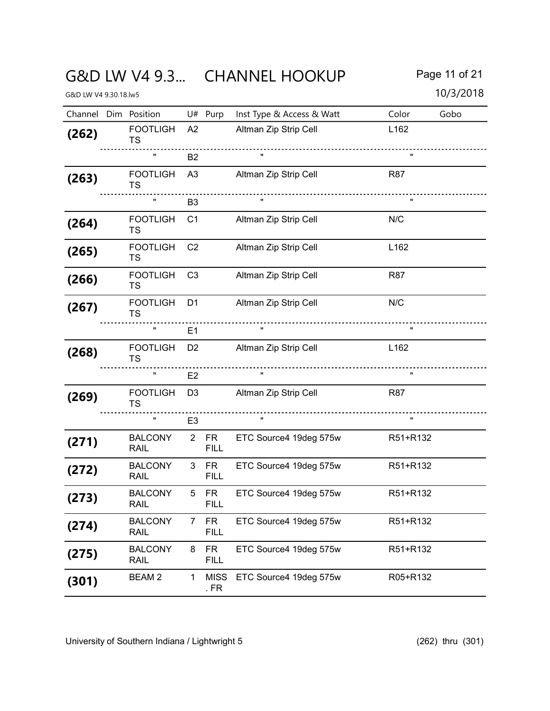## G&D LW V4 9.3... CHANNEL HOOKUP Page 11 of 21

**(269)** FOOTLIGH D3 TS

RAIL

RAIL

RAIL

RAIL

RAIL

 $(B01)$  BEAM 2 1 MISS

2 FR FILL

.....................

3 FR FILL

5 FR FILL

7 FR FILL

8 FR FILL

. FR

 $(BZ71)$  BALCONY

.............

(272) BALCONY

(273) BALCONY

 $(BA)$  BALCONY

 $(BZ75)$  BALCONY

|         | 10/3/2018<br>G&D LW V4 9.30.18.lw5 |                       |                |      |                           |                  |      |  |  |  |  |  |
|---------|------------------------------------|-----------------------|----------------|------|---------------------------|------------------|------|--|--|--|--|--|
| Channel | Dim                                | Position              | U#             | Purp | Inst Type & Access & Watt | Color            | Gobo |  |  |  |  |  |
| (262)   |                                    | <b>FOOTLIGH</b><br>TS | A2             |      | Altman Zip Strip Cell     | L <sub>162</sub> |      |  |  |  |  |  |
|         |                                    | π                     | B <sub>2</sub> |      |                           | $\mathbf{u}$     |      |  |  |  |  |  |
| (263)   |                                    | <b>FOOTLIGH</b><br>TS | A <sub>3</sub> |      | Altman Zip Strip Cell     | <b>R87</b>       |      |  |  |  |  |  |
|         |                                    | $\pmb{\mathsf{H}}$    | B <sub>3</sub> |      | $\pmb{\mathsf{H}}$        | $\mathbf{u}$     |      |  |  |  |  |  |
| (264)   |                                    | <b>FOOTLIGH</b><br>TS | C <sub>1</sub> |      | Altman Zip Strip Cell     | N/C              |      |  |  |  |  |  |
| (265)   |                                    | <b>FOOTLIGH</b><br>TS | C <sub>2</sub> |      | Altman Zip Strip Cell     | L <sub>162</sub> |      |  |  |  |  |  |
| (266)   |                                    | <b>FOOTLIGH</b><br>TS | C <sub>3</sub> |      | Altman Zip Strip Cell     | R87              |      |  |  |  |  |  |
| (267)   |                                    | <b>FOOTLIGH</b><br>TS | D <sub>1</sub> |      | Altman Zip Strip Cell     | N/C              |      |  |  |  |  |  |
|         |                                    | $\pmb{\mathsf{H}}$    | E <sub>1</sub> |      | $\pmb{\mathsf{H}}$        | $\mathbf{u}$     |      |  |  |  |  |  |
| (268)   |                                    | <b>FOOTLIGH</b><br>TS | D <sub>2</sub> |      | Altman Zip Strip Cell     | L <sub>162</sub> |      |  |  |  |  |  |

 $"$  E2  $"$   $"$   $"$   $"$ 

 $"$  E3  $"$   $"$   $"$   $"$ 

Altman Zip Strip Cell R87

ETC Source4 19deg 575w R51+R132

ETC Source4 19deg 575w R51+R132

ETC Source4 19deg 575w R51+R132

ETC Source4 19deg 575w R51+R132

ETC Source4 19deg 575w R51+R132

ETC Source4 19deg 575w R05+R132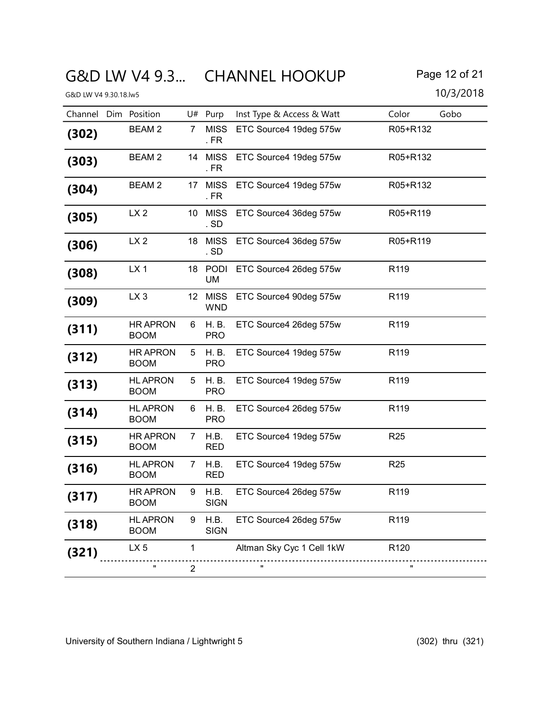## G&D LW V4 9.3... CHANNEL HOOKUP Page 12 of 21

|       | 10/3/2018<br>G&D LW V4 9.30.18.lw5 |                                |                |                       |                           |                  |      |  |  |  |  |  |
|-------|------------------------------------|--------------------------------|----------------|-----------------------|---------------------------|------------------|------|--|--|--|--|--|
|       |                                    | Channel Dim Position           |                | U# Purp               | Inst Type & Access & Watt | Color            | Gobo |  |  |  |  |  |
| (302) |                                    | <b>BEAM2</b>                   | 7              | <b>MISS</b><br>. $FR$ | ETC Source4 19deg 575w    | R05+R132         |      |  |  |  |  |  |
| (303) |                                    | <b>BEAM2</b>                   |                | 14 MISS<br>. $FR$     | ETC Source4 19deg 575w    | R05+R132         |      |  |  |  |  |  |
| (304) |                                    | <b>BEAM 2</b>                  |                | 17 MISS<br>. FR       | ETC Source4 19deg 575w    | R05+R132         |      |  |  |  |  |  |
| (305) |                                    | LX <sub>2</sub>                | 10             | <b>MISS</b><br>. SD   | ETC Source4 36deg 575w    | R05+R119         |      |  |  |  |  |  |
| (306) |                                    | LX <sub>2</sub>                | 18             | <b>MISS</b><br>. SD   | ETC Source4 36deg 575w    | R05+R119         |      |  |  |  |  |  |
| (308) |                                    | LX <sub>1</sub>                |                | 18 PODI<br>UM         | ETC Source4 26deg 575w    | R119             |      |  |  |  |  |  |
| (309) |                                    | LX <sub>3</sub>                |                | 12 MISS<br><b>WND</b> | ETC Source4 90deg 575w    | R119             |      |  |  |  |  |  |
| (311) |                                    | <b>HR APRON</b><br><b>BOOM</b> | 6              | H. B.<br><b>PRO</b>   | ETC Source4 26deg 575w    | R <sub>119</sub> |      |  |  |  |  |  |
| (312) |                                    | <b>HR APRON</b><br><b>BOOM</b> | 5              | H. B.<br><b>PRO</b>   | ETC Source4 19deg 575w    | R119             |      |  |  |  |  |  |
| (313) |                                    | <b>HL APRON</b><br><b>BOOM</b> | 5              | H. B.<br><b>PRO</b>   | ETC Source4 19deg 575w    | R <sub>119</sub> |      |  |  |  |  |  |
| (314) |                                    | <b>HLAPRON</b><br><b>BOOM</b>  | 6              | H. B.<br><b>PRO</b>   | ETC Source4 26deg 575w    | R119             |      |  |  |  |  |  |
| (315) |                                    | <b>HR APRON</b><br><b>BOOM</b> | 7              | H.B.<br><b>RED</b>    | ETC Source4 19deg 575w    | R <sub>25</sub>  |      |  |  |  |  |  |
| (316) |                                    | <b>HLAPRON</b><br><b>BOOM</b>  | $\overline{7}$ | H.B.<br><b>RED</b>    | ETC Source4 19deg 575w    | R <sub>25</sub>  |      |  |  |  |  |  |
| (317) |                                    | <b>HR APRON</b><br><b>BOOM</b> | 9              | H.B.<br><b>SIGN</b>   | ETC Source4 26deg 575w    | R <sub>119</sub> |      |  |  |  |  |  |
| (318) |                                    | <b>HL APRON</b><br><b>BOOM</b> | 9              | H.B.<br><b>SIGN</b>   | ETC Source4 26deg 575w    | R119             |      |  |  |  |  |  |
| (321) |                                    | LX <sub>5</sub>                | 1              |                       | Altman Sky Cyc 1 Cell 1kW | R <sub>120</sub> |      |  |  |  |  |  |
|       |                                    | Ħ                              | 2              |                       |                           | π                |      |  |  |  |  |  |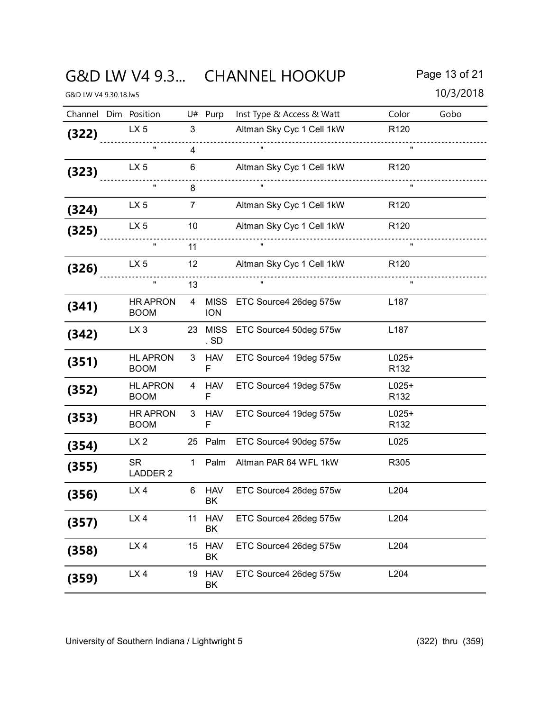## G&D LW V4 9.3... CHANNEL HOOKUP Page 13 of 21

| G&D LW V4 9.30.18.lw5 |                                |                 |                  |                             |                             | 10/3/2018 |
|-----------------------|--------------------------------|-----------------|------------------|-----------------------------|-----------------------------|-----------|
|                       | Channel Dim Position           |                 | U# Purp          | Inst Type & Access & Watt   | Color                       | Gobo      |
| (322)                 | LX <sub>5</sub>                | 3               |                  | Altman Sky Cyc 1 Cell 1kW   | R <sub>120</sub>            |           |
|                       | $\mathbf{H}$                   | $\overline{4}$  |                  | <u></u><br>$\mathbf{u}$     |                             |           |
| (323)                 | LX <sub>5</sub>                | 6               |                  | Altman Sky Cyc 1 Cell 1kW   | R <sub>120</sub>            |           |
|                       | $\pmb{\mathsf{H}}$             | 8               |                  | $\mathbf{u}$                | $\mathbf{u}$                |           |
| (324)                 | LX <sub>5</sub>                | $\overline{7}$  |                  | Altman Sky Cyc 1 Cell 1kW   | R <sub>120</sub>            |           |
| (325)                 | LX <sub>5</sub>                | 10              |                  | Altman Sky Cyc 1 Cell 1kW   | R <sub>120</sub>            |           |
|                       | $\mathbf{H}$                   | 11              |                  | $\mathbf{u}$                | $\mathbf{u}$                |           |
| (326)                 | LX <sub>5</sub>                | 12 <sup>°</sup> |                  | Altman Sky Cyc 1 Cell 1kW   | R <sub>120</sub>            |           |
|                       | $\pmb{\mathsf{H}}$             | 13              |                  | $\mathbf{u}$                | $\mathbf{u}$                |           |
| (341)                 | <b>HR APRON</b><br><b>BOOM</b> | 4               | <b>ION</b>       | MISS ETC Source4 26deg 575w | L <sub>187</sub>            |           |
| (342)                 | LX <sub>3</sub>                |                 | 23 MISS<br>. SD  | ETC Source4 50deg 575w      | L187                        |           |
| (351)                 | <b>HL APRON</b><br><b>BOOM</b> | 3               | <b>HAV</b><br>F  | ETC Source4 19deg 575w      | $L025+$<br>R <sub>132</sub> |           |
| (352)                 | <b>HLAPRON</b><br><b>BOOM</b>  | 4               | <b>HAV</b><br>F  | ETC Source4 19deg 575w      | $L025+$<br>R <sub>132</sub> |           |
| (353)                 | <b>HR APRON</b><br><b>BOOM</b> | 3               | <b>HAV</b><br>F  | ETC Source4 19deg 575w      | $L025+$<br>R <sub>132</sub> |           |
| (354)                 | LX <sub>2</sub>                |                 | 25 Palm          | ETC Source4 90deg 575w      | L025                        |           |
| (355)                 | <b>SR</b><br><b>LADDER 2</b>   | $\mathbf{1}$    | Palm             | Altman PAR 64 WFL 1kW       | R305                        |           |
| (356)                 | LX4                            | 6               | <b>HAV</b><br>ΒK | ETC Source4 26deg 575w      | L204                        |           |
| (357)                 | LX4                            | 11              | <b>HAV</b><br>BK | ETC Source4 26deg 575w      | L204                        |           |
| (358)                 | LX4                            |                 | 15 HAV<br>ΒK     | ETC Source4 26deg 575w      | L204                        |           |
| (359)                 | LX4                            | 19              | <b>HAV</b><br>BK | ETC Source4 26deg 575w      | L204                        |           |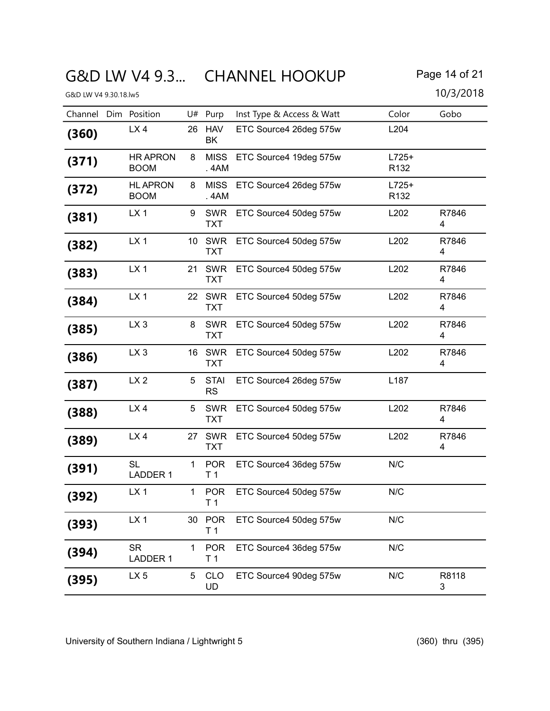## G&D LW V4 9.3... CHANNEL HOOKUP Page 14 of 21

|       | G&D LW V4 9.30.18.lw5 |                                |              |                              |                           |                             |            |  |  |
|-------|-----------------------|--------------------------------|--------------|------------------------------|---------------------------|-----------------------------|------------|--|--|
|       |                       | Channel Dim Position           |              | U# Purp                      | Inst Type & Access & Watt | Color                       | Gobo       |  |  |
| (360) |                       | LX4                            |              | 26 HAV<br>BK                 | ETC Source4 26deg 575w    | L204                        |            |  |  |
| (371) |                       | <b>HR APRON</b><br><b>BOOM</b> | 8            | <b>MISS</b><br>.4AM          | ETC Source4 19deg 575w    | $L725+$<br>R <sub>132</sub> |            |  |  |
| (372) |                       | <b>HL APRON</b><br><b>BOOM</b> | 8            | <b>MISS</b><br>.4AM          | ETC Source4 26deg 575w    | $L725+$<br>R <sub>132</sub> |            |  |  |
| (381) |                       | LX <sub>1</sub>                | 9            | <b>SWR</b><br><b>TXT</b>     | ETC Source4 50deg 575w    | L202                        | R7846<br>4 |  |  |
| (382) |                       | LX <sub>1</sub>                |              | 10 SWR<br><b>TXT</b>         | ETC Source4 50deg 575w    | L202                        | R7846<br>4 |  |  |
| (383) |                       | LX <sub>1</sub>                | 21           | SWR<br><b>TXT</b>            | ETC Source4 50deg 575w    | L202                        | R7846<br>4 |  |  |
| (384) |                       | LX <sub>1</sub>                |              | 22 SWR<br><b>TXT</b>         | ETC Source4 50deg 575w    | L202                        | R7846<br>4 |  |  |
| (385) |                       | LX <sub>3</sub>                | 8            | <b>SWR</b><br><b>TXT</b>     | ETC Source4 50deg 575w    | L202                        | R7846<br>4 |  |  |
| (386) |                       | LX <sub>3</sub>                |              | 16 SWR<br><b>TXT</b>         | ETC Source4 50deg 575w    | L202                        | R7846<br>4 |  |  |
| (387) |                       | LX <sub>2</sub>                | 5            | <b>STAI</b><br><b>RS</b>     | ETC Source4 26deg 575w    | L187                        |            |  |  |
| (388) |                       | LX4                            | 5            | <b>SWR</b><br><b>TXT</b>     | ETC Source4 50deg 575w    | L202                        | R7846<br>4 |  |  |
| (389) |                       | LX4                            |              | 27 SWR<br><b>TXT</b>         | ETC Source4 50deg 575w    | L202                        | R7846<br>4 |  |  |
| (391) |                       | <b>SL</b><br>LADDER 1          | 1            | <b>POR</b><br>T <sub>1</sub> | ETC Source4 36deg 575w    | N/C                         |            |  |  |
| (392) |                       | LX1                            | 1            | <b>POR</b><br>T <sub>1</sub> | ETC Source4 50deg 575w    | N/C                         |            |  |  |
| (393) |                       | LX <sub>1</sub>                |              | 30 POR<br>T <sub>1</sub>     | ETC Source4 50deg 575w    | N/C                         |            |  |  |
| (394) |                       | <b>SR</b><br><b>LADDER 1</b>   | $\mathbf{1}$ | <b>POR</b><br>T <sub>1</sub> | ETC Source4 36deg 575w    | N/C                         |            |  |  |
| (395) |                       | LX <sub>5</sub>                | 5            | <b>CLO</b><br>UD             | ETC Source4 90deg 575w    | N/C                         | R8118<br>3 |  |  |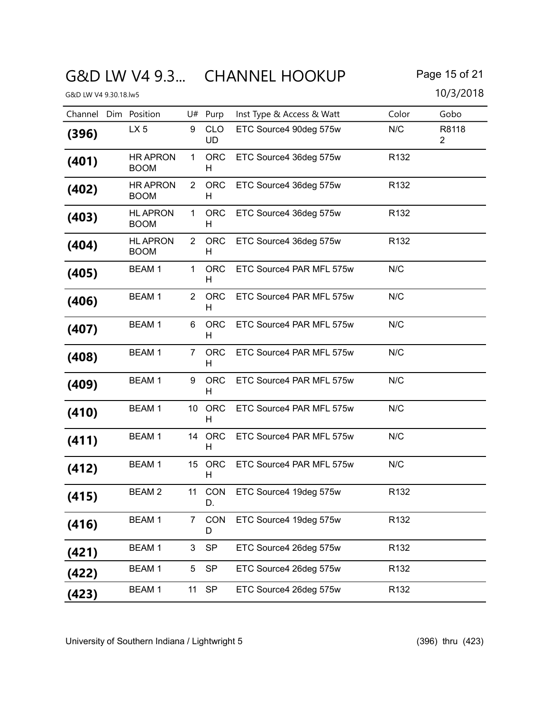## G&D LW V4 9.3... CHANNEL HOOKUP Page 15 of 21

|       | Channel Dim Position           |                | U# Purp          | Inst Type & Access & Watt | Color            | Gobo       |
|-------|--------------------------------|----------------|------------------|---------------------------|------------------|------------|
| (396) | LX <sub>5</sub>                | 9              | <b>CLO</b><br>UD | ETC Source4 90deg 575w    | N/C              | R8118<br>2 |
| (401) | <b>HR APRON</b><br><b>BOOM</b> | $\mathbf{1}$   | <b>ORC</b><br>H  | ETC Source4 36deg 575w    | R <sub>132</sub> |            |
| (402) | <b>HR APRON</b><br><b>BOOM</b> | $\overline{2}$ | ORC<br>H         | ETC Source4 36deg 575w    | R <sub>132</sub> |            |
| (403) | <b>HL APRON</b><br><b>BOOM</b> | $\mathbf{1}$   | <b>ORC</b><br>H  | ETC Source4 36deg 575w    | R <sub>132</sub> |            |
| (404) | <b>HL APRON</b><br><b>BOOM</b> | $\overline{2}$ | ORC<br>H         | ETC Source4 36deg 575w    | R <sub>132</sub> |            |
| (405) | <b>BEAM1</b>                   | $\mathbf 1$    | <b>ORC</b><br>H  | ETC Source4 PAR MFL 575w  | N/C              |            |
| (406) | <b>BEAM1</b>                   | $\overline{2}$ | <b>ORC</b><br>H  | ETC Source4 PAR MFL 575w  | N/C              |            |
| (407) | <b>BEAM1</b>                   | 6              | <b>ORC</b><br>H  | ETC Source4 PAR MFL 575w  | N/C              |            |
| (408) | <b>BEAM1</b>                   | $\overline{7}$ | <b>ORC</b><br>H  | ETC Source4 PAR MFL 575w  | N/C              |            |
| (409) | <b>BEAM1</b>                   | 9              | <b>ORC</b><br>H  | ETC Source4 PAR MFL 575w  | N/C              |            |
| (410) | <b>BEAM1</b>                   | 10             | ORC<br>H         | ETC Source4 PAR MFL 575w  | N/C              |            |
| (411) | <b>BEAM1</b>                   |                | 14 ORC<br>H      | ETC Source4 PAR MFL 575w  | N/C              |            |
| (412) | <b>BEAM1</b>                   |                | 15 ORC<br>H      | ETC Source4 PAR MFL 575w  | N/C              |            |
| (415) | <b>BEAM2</b>                   | 11             | CON<br>D.        | ETC Source4 19deg 575w    | R132             |            |
| (416) | <b>BEAM1</b>                   | $\overline{7}$ | <b>CON</b><br>D  | ETC Source4 19deg 575w    | R <sub>132</sub> |            |
| (421) | <b>BEAM1</b>                   | 3              | SP               | ETC Source4 26deg 575w    | R <sub>132</sub> |            |
| (422) | <b>BEAM1</b>                   | 5              | <b>SP</b>        | ETC Source4 26deg 575w    | R <sub>132</sub> |            |
| (423) | <b>BEAM1</b>                   | 11             | SP               | ETC Source4 26deg 575w    | R <sub>132</sub> |            |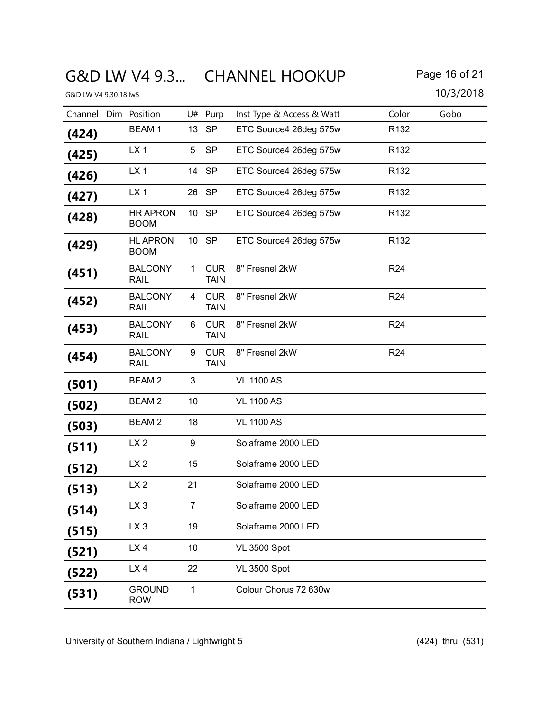## G&D LW V4 9.3... CHANNEL HOOKUP Page 16 of 21

| Channel | Dim Position                   |                 | U# Purp                   | Inst Type & Access & Watt | Color            | Gobo |
|---------|--------------------------------|-----------------|---------------------------|---------------------------|------------------|------|
| (424)   | <b>BEAM1</b>                   | 13 <sup>7</sup> | SP                        | ETC Source4 26deg 575w    | R <sub>132</sub> |      |
| (425)   | LX <sub>1</sub>                | 5               | <b>SP</b>                 | ETC Source4 26deg 575w    | R <sub>132</sub> |      |
| (426)   | LX <sub>1</sub>                | 14              | <b>SP</b>                 | ETC Source4 26deg 575w    | R <sub>132</sub> |      |
| (427)   | LX <sub>1</sub>                | 26              | <b>SP</b>                 | ETC Source4 26deg 575w    | R <sub>132</sub> |      |
| (428)   | <b>HR APRON</b><br><b>BOOM</b> |                 | 10 SP                     | ETC Source4 26deg 575w    | R <sub>132</sub> |      |
| (429)   | <b>HLAPRON</b><br><b>BOOM</b>  |                 | 10 SP                     | ETC Source4 26deg 575w    | R <sub>132</sub> |      |
| (451)   | <b>BALCONY</b><br><b>RAIL</b>  | $\mathbf{1}$    | <b>CUR</b><br><b>TAIN</b> | 8" Fresnel 2kW            | R <sub>24</sub>  |      |
| (452)   | <b>BALCONY</b><br><b>RAIL</b>  | 4               | <b>CUR</b><br><b>TAIN</b> | 8" Fresnel 2kW            | R <sub>24</sub>  |      |
| (453)   | <b>BALCONY</b><br><b>RAIL</b>  | 6               | <b>CUR</b><br><b>TAIN</b> | 8" Fresnel 2kW            | R <sub>24</sub>  |      |
| (454)   | <b>BALCONY</b><br><b>RAIL</b>  | 9               | <b>CUR</b><br><b>TAIN</b> | 8" Fresnel 2kW            | R <sub>24</sub>  |      |
| (501)   | <b>BEAM2</b>                   | 3               |                           | <b>VL 1100 AS</b>         |                  |      |
| (502)   | <b>BEAM2</b>                   | 10              |                           | <b>VL 1100 AS</b>         |                  |      |
| (503)   | <b>BEAM2</b>                   | 18              |                           | <b>VL 1100 AS</b>         |                  |      |
| (511)   | LX <sub>2</sub>                | 9               |                           | Solaframe 2000 LED        |                  |      |
| (512)   | LX <sub>2</sub>                | 15              |                           | Solaframe 2000 LED        |                  |      |
| (513)   | LX <sub>2</sub>                | 21              |                           | Solaframe 2000 LED        |                  |      |
| (514)   | LX <sub>3</sub>                | 7               |                           | Solaframe 2000 LED        |                  |      |
| (515)   | LX <sub>3</sub>                | 19              |                           | Solaframe 2000 LED        |                  |      |
| (521)   | LX4                            | 10              |                           | <b>VL 3500 Spot</b>       |                  |      |
| (522)   | LX4                            | 22              |                           | <b>VL 3500 Spot</b>       |                  |      |
| (531)   | <b>GROUND</b><br><b>ROW</b>    | $\mathbf{1}$    |                           | Colour Chorus 72 630w     |                  |      |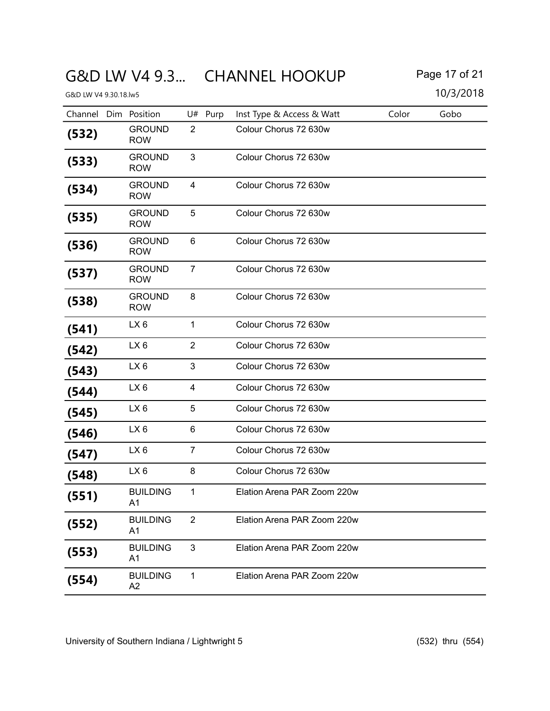# G&D LW V4 9.3... CHANNEL HOOKUP Page 17 of 21

G&D LW V4 9.30.18.lw5

| 10/3/2018 |  |
|-----------|--|
|-----------|--|

| Channel | Position<br>Dim                   | $U#$ Purp      | Inst Type & Access & Watt   | Color | Gobo |
|---------|-----------------------------------|----------------|-----------------------------|-------|------|
| (532)   | <b>GROUND</b><br><b>ROW</b>       | $\overline{2}$ | Colour Chorus 72 630w       |       |      |
| (533)   | <b>GROUND</b><br><b>ROW</b>       | 3              | Colour Chorus 72 630w       |       |      |
| (534)   | <b>GROUND</b><br><b>ROW</b>       | 4              | Colour Chorus 72 630w       |       |      |
| (535)   | <b>GROUND</b><br><b>ROW</b>       | 5              | Colour Chorus 72 630w       |       |      |
| (536)   | <b>GROUND</b><br><b>ROW</b>       | 6              | Colour Chorus 72 630w       |       |      |
| (537)   | <b>GROUND</b><br><b>ROW</b>       | $\overline{7}$ | Colour Chorus 72 630w       |       |      |
| (538)   | <b>GROUND</b><br><b>ROW</b>       | 8              | Colour Chorus 72 630w       |       |      |
| (541)   | LX <sub>6</sub>                   | 1              | Colour Chorus 72 630w       |       |      |
| (542)   | LX6                               | $\overline{2}$ | Colour Chorus 72 630w       |       |      |
| (543)   | LX6                               | 3              | Colour Chorus 72 630w       |       |      |
| (544)   | LX6                               | 4              | Colour Chorus 72 630w       |       |      |
| (545)   | LX6                               | 5              | Colour Chorus 72 630w       |       |      |
| (546)   | LX6                               | 6              | Colour Chorus 72 630w       |       |      |
| (547)   | LX <sub>6</sub>                   | 7              | Colour Chorus 72 630w       |       |      |
| (548)   | LX <sub>6</sub>                   | 8              | Colour Chorus 72 630w       |       |      |
| (551)   | <b>BUILDING</b><br>A1             | 1              | Elation Arena PAR Zoom 220w |       |      |
| (552)   | <b>BUILDING</b><br>A <sub>1</sub> | $\overline{2}$ | Elation Arena PAR Zoom 220w |       |      |
| (553)   | <b>BUILDING</b><br>A <sub>1</sub> | 3              | Elation Arena PAR Zoom 220w |       |      |
| (554)   | <b>BUILDING</b><br>A <sub>2</sub> | $\mathbf{1}$   | Elation Arena PAR Zoom 220w |       |      |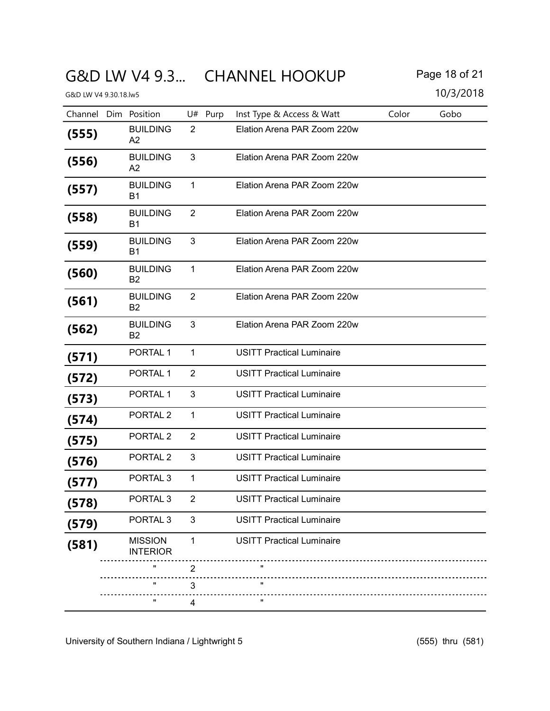# G&D LW V4 9.3... CHANNEL HOOKUP Page 18 of 21

| Channel | Dim Position                      | U# Purp        | Inst Type & Access & Watt        | Color<br>Gobo |
|---------|-----------------------------------|----------------|----------------------------------|---------------|
| (555)   | <b>BUILDING</b><br>A2             | $\overline{2}$ | Elation Arena PAR Zoom 220w      |               |
| (556)   | <b>BUILDING</b><br>A2             | 3              | Elation Arena PAR Zoom 220w      |               |
| (557)   | <b>BUILDING</b><br>Β1             | 1              | Elation Arena PAR Zoom 220w      |               |
| (558)   | <b>BUILDING</b><br>B1             | $\overline{2}$ | Elation Arena PAR Zoom 220w      |               |
| (559)   | <b>BUILDING</b><br><b>B1</b>      | 3              | Elation Arena PAR Zoom 220w      |               |
| (560)   | <b>BUILDING</b><br><b>B2</b>      | $\mathbf{1}$   | Elation Arena PAR Zoom 220w      |               |
| (561)   | <b>BUILDING</b><br>B2             | $\overline{2}$ | Elation Arena PAR Zoom 220w      |               |
| (562)   | <b>BUILDING</b><br>B2             | 3              | Elation Arena PAR Zoom 220w      |               |
| (571)   | PORTAL 1                          | 1              | <b>USITT Practical Luminaire</b> |               |
| (572)   | PORTAL 1                          | $\overline{2}$ | <b>USITT Practical Luminaire</b> |               |
| (573)   | PORTAL 1                          | 3              | <b>USITT Practical Luminaire</b> |               |
| (574)   | PORTAL <sub>2</sub>               | 1              | <b>USITT Practical Luminaire</b> |               |
| (575)   | PORTAL <sub>2</sub>               | $\overline{2}$ | <b>USITT Practical Luminaire</b> |               |
| (576)   | PORTAL <sub>2</sub>               | 3              | <b>USITT Practical Luminaire</b> |               |
| (577)   | PORTAL <sub>3</sub>               | $\mathbf{1}$   | <b>USITT Practical Luminaire</b> |               |
| (578)   | PORTAL <sub>3</sub>               | $\overline{2}$ | <b>USITT Practical Luminaire</b> |               |
| (579)   | PORTAL <sub>3</sub>               | 3              | <b>USITT Practical Luminaire</b> |               |
| (581)   | <b>MISSION</b><br><b>INTERIOR</b> | 1              | <b>USITT Practical Luminaire</b> |               |
|         |                                   | 2              |                                  |               |
|         |                                   | 3              |                                  |               |
|         |                                   | 4              |                                  |               |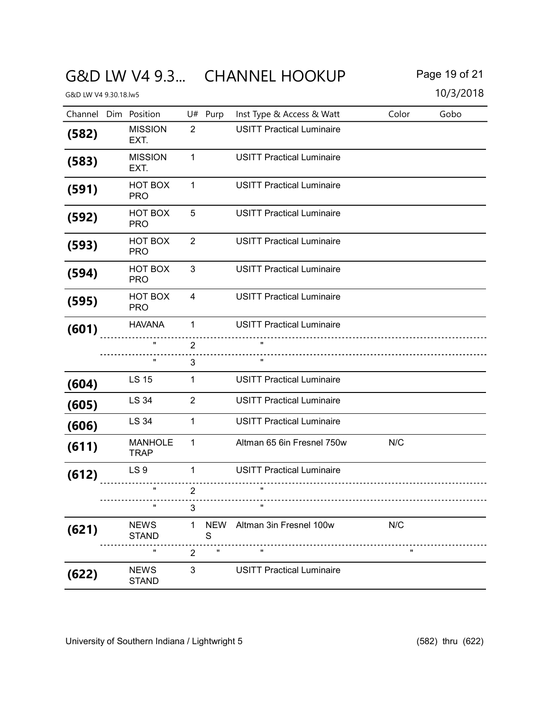# G&D LW V4 9.3... CHANNEL HOOKUP Page 19 of 21

| Channel | Dim Position                  |                | U# Purp         | Inst Type & Access & Watt        | Color | Gobo |
|---------|-------------------------------|----------------|-----------------|----------------------------------|-------|------|
| (582)   | <b>MISSION</b><br>EXT.        | $\overline{2}$ |                 | <b>USITT Practical Luminaire</b> |       |      |
| (583)   | <b>MISSION</b><br>EXT.        | $\mathbf{1}$   |                 | <b>USITT Practical Luminaire</b> |       |      |
| (591)   | HOT BOX<br><b>PRO</b>         | 1              |                 | <b>USITT Practical Luminaire</b> |       |      |
| (592)   | HOT BOX<br><b>PRO</b>         | 5              |                 | <b>USITT Practical Luminaire</b> |       |      |
| (593)   | HOT BOX<br><b>PRO</b>         | $\overline{2}$ |                 | <b>USITT Practical Luminaire</b> |       |      |
| (594)   | HOT BOX<br><b>PRO</b>         | 3              |                 | <b>USITT Practical Luminaire</b> |       |      |
| (595)   | HOT BOX<br><b>PRO</b>         | $\overline{4}$ |                 | <b>USITT Practical Luminaire</b> |       |      |
| (601)   | <b>HAVANA</b>                 | $\mathbf{1}$   |                 | <b>USITT Practical Luminaire</b> |       |      |
|         |                               | $\overline{2}$ |                 |                                  |       |      |
|         | π.                            | 3              |                 | $\mathbf{H}$                     |       |      |
| (604)   | <b>LS 15</b>                  | $\mathbf{1}$   |                 | <b>USITT Practical Luminaire</b> |       |      |
| (605)   | <b>LS 34</b>                  | $\overline{2}$ |                 | <b>USITT Practical Luminaire</b> |       |      |
| (606)   | <b>LS 34</b>                  | $\mathbf{1}$   |                 | <b>USITT Practical Luminaire</b> |       |      |
| (611)   | <b>MANHOLE</b><br><b>TRAP</b> | $\mathbf 1$    |                 | Altman 65 6in Fresnel 750w       | N/C   |      |
| (612)   | LS <sub>9</sub>               | $\mathbf{1}$   |                 | <b>USITT Practical Luminaire</b> |       |      |
|         | $\pmb{\mathsf{H}}$            | $\overline{2}$ |                 |                                  |       |      |
|         |                               | 3              |                 |                                  |       |      |
| (621)   | <b>NEWS</b><br><b>STAND</b>   | 1              | <b>NEW</b><br>S | Altman 3in Fresnel 100w          | N/C   |      |
|         | π                             | $\overline{2}$ | Ħ               | π                                |       |      |
| (622)   | <b>NEWS</b><br><b>STAND</b>   | 3              |                 | <b>USITT Practical Luminaire</b> |       |      |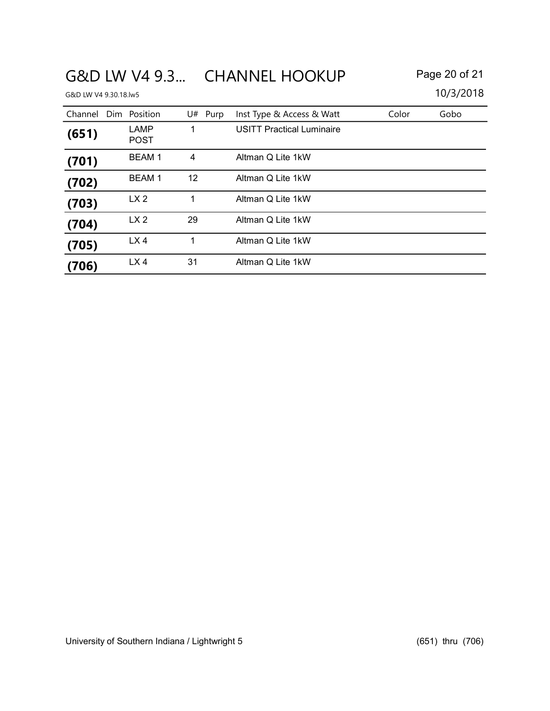# G&D LW V4 9.3... CHANNEL HOOKUP Page 20 of 21

| Channel | Dim Position               | U# | Purp | Inst Type & Access & Watt        | Color | Gobo |
|---------|----------------------------|----|------|----------------------------------|-------|------|
| (651)   | <b>LAMP</b><br><b>POST</b> | 1  |      | <b>USITT Practical Luminaire</b> |       |      |
| (701)   | <b>BEAM1</b>               | 4  |      | Altman Q Lite 1kW                |       |      |
| (702)   | <b>BEAM1</b>               | 12 |      | Altman Q Lite 1kW                |       |      |
| (703)   | LX <sub>2</sub>            | 1  |      | Altman Q Lite 1kW                |       |      |
| (704)   | LX <sub>2</sub>            | 29 |      | Altman Q Lite 1kW                |       |      |
| (705)   | LX4                        | 1  |      | Altman Q Lite 1kW                |       |      |
| (706)   | LX4                        | 31 |      | Altman Q Lite 1kW                |       |      |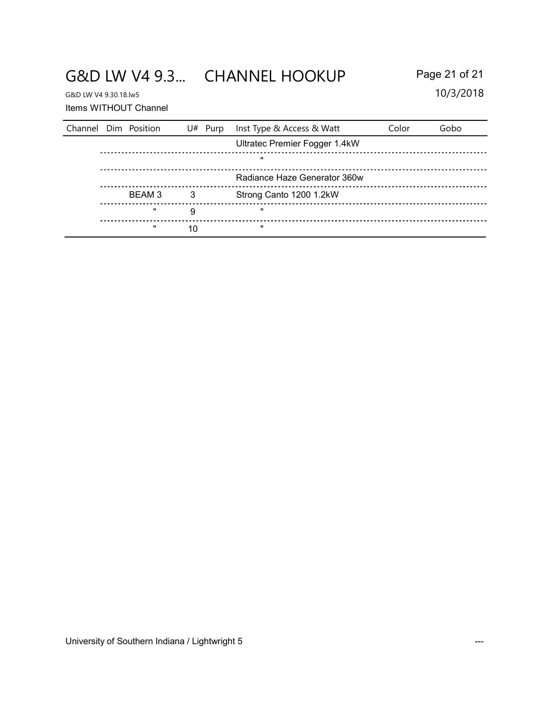## G&D LW V4 9.3... CHANNEL HOOKUP Page 21 of 21

#### Items WITHOUT Channel

| Channel Dim Position |              |    | U# Purp | Inst Type & Access & Watt     | Color | Gobo |
|----------------------|--------------|----|---------|-------------------------------|-------|------|
|                      |              |    |         | Ultratec Premier Fogger 1.4kW |       |      |
|                      |              |    |         | $\mathbf{u}$                  |       |      |
|                      |              |    |         | Radiance Haze Generator 360w  |       |      |
|                      | BEAM 3       | -3 |         | Strong Canto 1200 1.2kW       |       |      |
|                      | $\mathbf{H}$ | 9  |         |                               |       |      |
|                      | $\mathbf{H}$ | 10 |         | $\mathbf{u}$                  |       |      |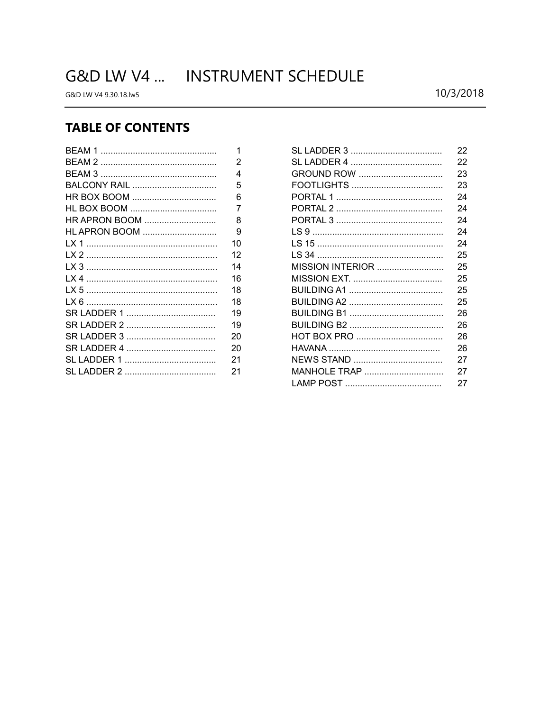G&D LW V4 9.30.18.lw5

# G&D LW V4 ... INSTRUMENT SCHEDULE

## **TABLE OF CONTENTS**

|               | 1              |
|---------------|----------------|
|               | 2              |
|               | 4              |
| BALCONY RAIL  | 5              |
|               | 6              |
|               | $\overline{7}$ |
| HR APRON BOOM | 8              |
| HL APRON BOOM | 9              |
|               | 10             |
|               | 12             |
|               | 14             |
|               | 16             |
|               | 18             |
|               | 18             |
|               | 19             |
|               | 19             |
|               | 20             |
|               | 20             |
|               | 21             |
|               | 21             |
|               |                |

|                  | 22 |
|------------------|----|
|                  | 22 |
| GROUND ROW       | 23 |
|                  | 23 |
|                  | 24 |
|                  | 24 |
|                  | 24 |
|                  | 24 |
|                  | 24 |
|                  | 25 |
| MISSION INTERIOR | 25 |
|                  | 25 |
|                  | 25 |
|                  | 25 |
|                  | 26 |
|                  | 26 |
|                  | 26 |
|                  | 26 |
|                  | 27 |
| MANHOLE TRAP     | 27 |
|                  | 27 |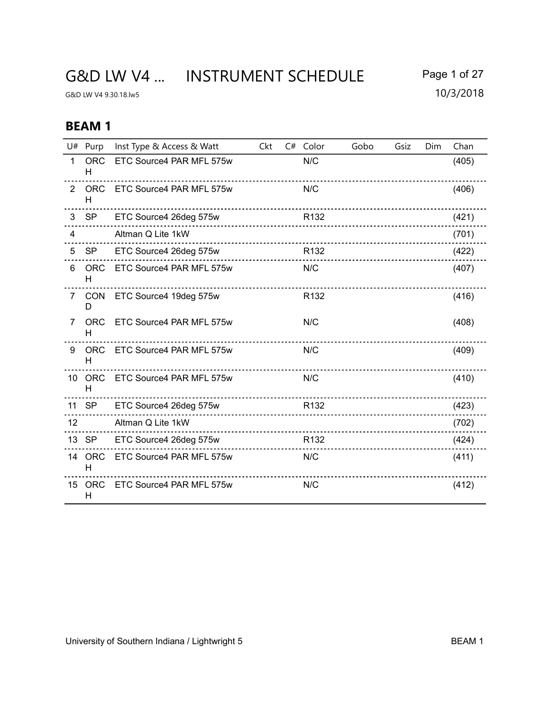| U#             | Purp             | Inst Type & Access & Watt | Ckt | C# Color         | Gobo | Gsiz | Dim | Chan  |
|----------------|------------------|---------------------------|-----|------------------|------|------|-----|-------|
| $\mathbf{1}$   | <b>ORC</b><br>H. | ETC Source4 PAR MFL 575w  |     | N/C              |      |      |     | (405) |
| $\overline{2}$ | ORC<br>H.        | ETC Source4 PAR MFL 575w  |     | N/C              |      |      |     | (406) |
| 3              | <b>SP</b>        | ETC Source4 26deg 575w    |     | R <sub>132</sub> |      |      |     | (421) |
| 4              |                  | Altman Q Lite 1kW         |     |                  |      |      |     | (701) |
| 5              | <b>SP</b>        | ETC Source4 26deg 575w    |     | R <sub>132</sub> |      |      |     | (422) |
| 6              | <b>ORC</b><br>H. | ETC Source4 PAR MFL 575w  |     | N/C              |      |      |     | (407) |
| $\overline{7}$ | CON<br>D         | ETC Source4 19deg 575w    |     | R <sub>132</sub> |      |      |     | (416) |
| 7              | <b>ORC</b><br>H  | ETC Source4 PAR MFL 575w  |     | N/C              |      |      |     | (408) |
| 9              | <b>ORC</b><br>H  | ETC Source4 PAR MFL 575w  |     | N/C              |      |      |     | (409) |
|                | 10 ORC<br>H      | ETC Source4 PAR MFL 575w  |     | N/C              |      |      |     | (410) |
|                | 11 SP            | ETC Source4 26deg 575w    |     | R <sub>132</sub> |      |      |     | (423) |
| 12             |                  | Altman Q Lite 1kW         |     |                  |      |      |     | (702) |
|                | 13 SP            | ETC Source4 26deg 575w    |     | R <sub>132</sub> |      |      |     | (424) |
|                | 14 ORC<br>H      | ETC Source4 PAR MFL 575w  |     | N/C              |      |      |     | (411) |
|                | 15 ORC<br>H.     | ETC Source4 PAR MFL 575w  |     | N/C              |      |      |     | (412) |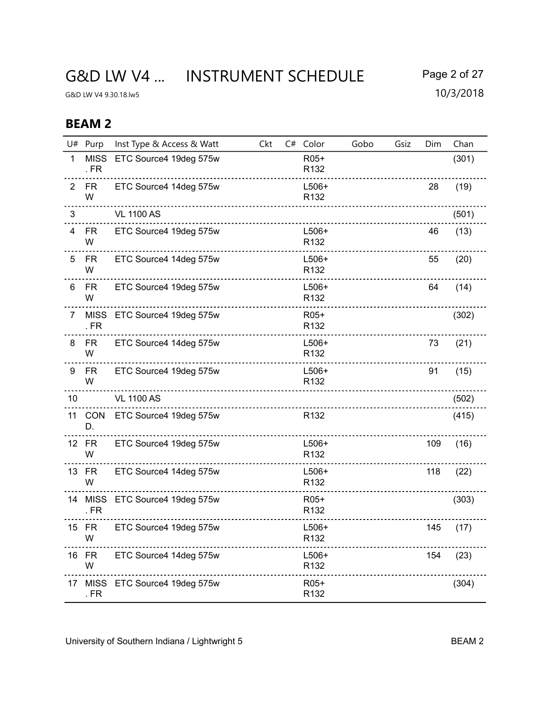## G&D LW V4 ... INSTRUMENT SCHEDULE Page 2 of 27

G&D LW V4 9.30.18.lw5 10/3/2018

|                | U# Purp                        | Inst Type & Access & Watt      | Ckt | C# Color                    | Gobo | Gsiz | Dim | Chan  |
|----------------|--------------------------------|--------------------------------|-----|-----------------------------|------|------|-----|-------|
| 1              | <b>MISS</b><br>. $FR$          | ETC Source4 19deg 575w         |     | R05+<br>R132                |      |      |     | (301) |
| $\overline{2}$ | <b>FR</b><br>W                 | ETC Source4 14deg 575w         |     | $L506+$<br>R <sub>132</sub> |      |      | 28  | (19)  |
| 3              |                                | <b>VL 1100 AS</b>              |     |                             |      |      |     | (501) |
| 4              | <b>FR</b><br>W                 | ETC Source4 19deg 575w         |     | $L506+$<br>R132             |      |      | 46  | (13)  |
| 5              | <b>FR</b><br>W                 | ETC Source4 14deg 575w         |     | $L506+$<br>R <sub>132</sub> |      |      | 55  | (20)  |
| 6              | <b>FR</b><br>W                 | ETC Source4 19deg 575w         |     | $L506+$<br>R <sub>132</sub> |      |      | 64  | (14)  |
| 7              | <b>MISS</b><br>. <sub>FR</sub> | ETC Source4 19deg 575w         |     | R05+<br>R <sub>132</sub>    |      |      |     | (302) |
| 8              | <b>FR</b><br>W                 | ETC Source4 14deg 575w         |     | $L506+$<br>R132             |      |      | 73  | (21)  |
| 9              | <b>FR</b><br>W                 | ETC Source4 19deg 575w         |     | $L506+$<br>R132             |      |      | 91  | (15)  |
| 10             |                                | <b>VL 1100 AS</b>              |     |                             |      |      |     | (502) |
|                | 11 CON<br>D.                   | ETC Source4 19deg 575w         |     | R <sub>132</sub>            |      |      |     | (415) |
|                | 12 FR<br>W                     | ETC Source4 19deg 575w         |     | $L506+$<br>R132             |      |      | 109 | (16)  |
|                | 13 FR<br>W                     | ETC Source4 14deg 575w         |     | $L506+$<br>R <sub>132</sub> |      |      | 118 | (22)  |
|                | . ${\sf FR}$                   | 14 MISS ETC Source4 19deg 575w |     | R05+<br>R <sub>132</sub>    |      |      |     | (303) |
|                | 15 FR<br>W                     | ETC Source4 19deg 575w         |     | $L506+$<br>R <sub>132</sub> |      |      | 145 | (17)  |
|                | 16 FR<br>W                     | ETC Source4 14deg 575w         |     | $L506+$<br>R132             |      |      | 154 | (23)  |
| 17             | MISS<br>. <sub>FR</sub>        | ETC Source4 19deg 575w         |     | R05+<br>R132                |      |      |     | (304) |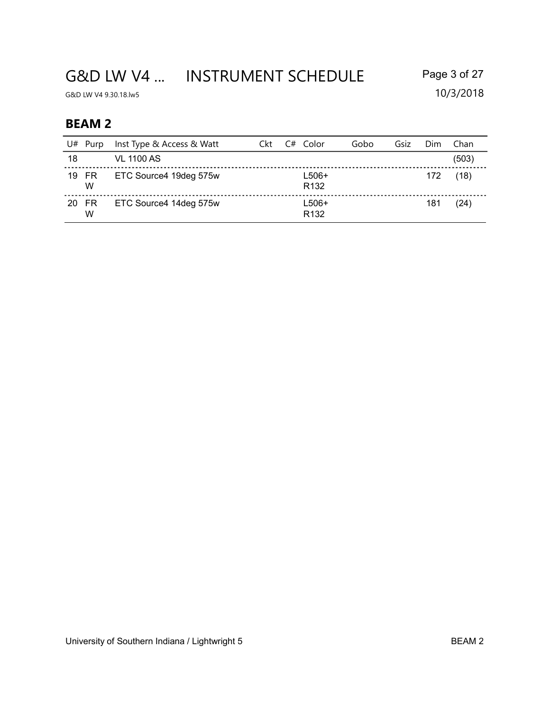# G&D LW V4 ... INSTRUMENT SCHEDULE Page 3 of 27

G&D LW V4 9.30.18.lw5 10/3/2018

| U# | Purp      | Inst Type & Access & Watt | Ckt | $C#$ Color                | Gobo | Gsiz | Dim | Chan  |
|----|-----------|---------------------------|-----|---------------------------|------|------|-----|-------|
| 18 |           | <b>VL 1100 AS</b>         |     |                           |      |      |     | (503) |
| 19 | - FR<br>W | ETC Source4 19deg 575w    |     | L506+<br>R <sub>132</sub> |      |      | 172 | (18)  |
| 20 | - FR<br>W | ETC Source4 14deg 575w    |     | L506+<br>R <sub>132</sub> |      |      | 181 | (24)  |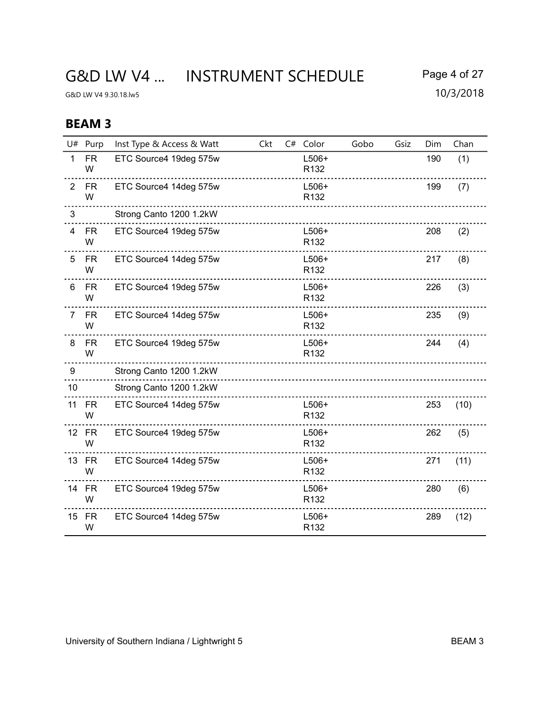## G&D LW V4 ... INSTRUMENT SCHEDULE Page 4 of 27

G&D LW V4 9.30.18.lw5 10/3/2018

| U#             | Purp           | Inst Type & Access & Watt | Ckt | C# | Color                       | Gobo | Gsiz | Dim | Chan |
|----------------|----------------|---------------------------|-----|----|-----------------------------|------|------|-----|------|
| 1              | <b>FR</b><br>W | ETC Source4 19deg 575w    |     |    | $L506+$<br>R132             |      |      | 190 | (1)  |
| $\overline{2}$ | <b>FR</b><br>W | ETC Source4 14deg 575w    |     |    | $L506+$<br>R <sub>132</sub> |      |      | 199 | (7)  |
| 3              |                | Strong Canto 1200 1.2kW   |     |    |                             |      |      |     |      |
| 4              | <b>FR</b><br>W | ETC Source4 19deg 575w    |     |    | $L506+$<br>R132             |      |      | 208 | (2)  |
| 5              | <b>FR</b><br>W | ETC Source4 14deg 575w    |     |    | $L506+$<br>R <sub>132</sub> |      |      | 217 | (8)  |
| 6              | <b>FR</b><br>W | ETC Source4 19deg 575w    |     |    | $L506+$<br>R132             |      |      | 226 | (3)  |
| $\overline{7}$ | <b>FR</b><br>W | ETC Source4 14deg 575w    |     |    | $L506+$<br>R132             |      |      | 235 | (9)  |
| 8              | <b>FR</b><br>W | ETC Source4 19deg 575w    |     |    | $L506+$<br>R132             |      |      | 244 | (4)  |
| 9              |                | Strong Canto 1200 1.2kW   |     |    |                             |      |      |     |      |
| 10             |                | Strong Canto 1200 1.2kW   |     |    |                             |      |      |     |      |
|                | 11 FR<br>W     | ETC Source4 14deg 575w    |     |    | $L506+$<br>R132             |      |      | 253 | (10) |
|                | 12 FR<br>W     | ETC Source4 19deg 575w    |     |    | $L506+$<br>R132             |      |      | 262 | (5)  |
|                | 13 FR<br>W     | ETC Source4 14deg 575w    |     |    | $L506+$<br>R <sub>132</sub> |      |      | 271 | (11) |
|                | 14 FR<br>W     | ETC Source4 19deg 575w    |     |    | $L506+$<br>R <sub>132</sub> |      |      | 280 | (6)  |
|                | 15 FR<br>W     | ETC Source4 14deg 575w    |     |    | $L506+$<br>R132             |      |      | 289 | (12) |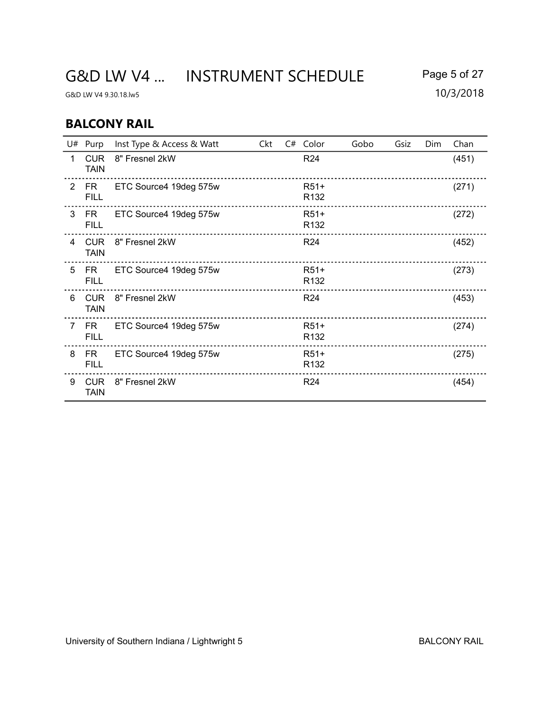## G&D LW V4 ... INSTRUMENT SCHEDULE Page 5 of 27

G&D LW V4 9.30.18.lw5 10/3/2018

#### BALCONY RAIL

|                | U# Purp                   | Inst Type & Access & Watt | Ckt | C# Color                   | Gobo | Gsiz | Dim | Chan  |
|----------------|---------------------------|---------------------------|-----|----------------------------|------|------|-----|-------|
| 1              | <b>CUR</b><br><b>TAIN</b> | 8" Fresnel 2kW            |     | R <sub>24</sub>            |      |      |     | (451) |
| $\overline{2}$ | FR.<br><b>FILL</b>        | ETC Source4 19deg 575w    |     | $R51+$<br>R <sub>132</sub> |      |      |     | (271) |
| 3              | FR.<br><b>FILL</b>        | ETC Source4 19deg 575w    |     | $R51+$<br>R <sub>132</sub> |      |      |     | (272) |
| 4              | <b>CUR</b><br><b>TAIN</b> | 8" Fresnel 2kW            |     | R <sub>24</sub>            |      |      |     | (452) |
| 5              | FR.<br><b>FILL</b>        | ETC Source4 19deg 575w    |     | $R51+$<br>R <sub>132</sub> |      |      |     | (273) |
| 6              | <b>CUR</b><br><b>TAIN</b> | 8" Fresnel 2kW            |     | R <sub>24</sub>            |      |      |     | (453) |
| 7              | FR.<br><b>FILL</b>        | ETC Source4 19deg 575w    |     | $R51+$<br>R <sub>132</sub> |      |      |     | (274) |
| 8              | FR.<br><b>FILL</b>        | ETC Source4 19deg 575w    |     | $R51+$<br>R <sub>132</sub> |      |      |     | (275) |
| 9              | <b>CUR</b><br><b>TAIN</b> | 8" Fresnel 2kW            |     | R <sub>24</sub>            |      |      |     | (454) |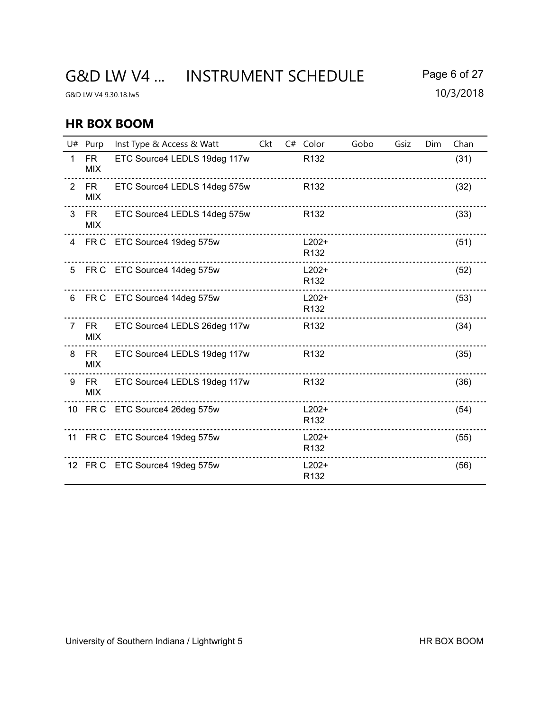# G&D LW V4 ... INSTRUMENT SCHEDULE Page 6 of 27

G&D LW V4 9.30.18.lw5 10/3/2018

#### HR BOX BOOM

|              | U# Purp                 | Inst Type & Access & Watt      | Ckt | C# Color                    | Gobo | Gsiz | Dim | Chan |
|--------------|-------------------------|--------------------------------|-----|-----------------------------|------|------|-----|------|
| $\mathbf{1}$ | <b>FR</b><br><b>MIX</b> | ETC Source4 LEDLS 19deg 117w   |     | R <sub>132</sub>            |      |      |     | (31) |
|              | 2 FR<br><b>MIX</b>      | ETC Source4 LEDLS 14deg 575w   |     | R <sub>132</sub>            |      |      |     | (32) |
|              | 3 FR<br><b>MIX</b>      | ETC Source4 LEDLS 14deg 575w   |     | R <sub>132</sub>            |      |      |     | (33) |
|              |                         | 4 FR C ETC Source4 19deg 575w  |     | $L202+$<br>R <sub>132</sub> |      |      |     | (51) |
|              |                         | 5 FR C ETC Source4 14deg 575w  |     | $L202+$<br>R <sub>132</sub> |      |      |     | (52) |
| 6            |                         | FR C ETC Source4 14deg 575w    |     | $L202+$<br>R <sub>132</sub> |      |      |     | (53) |
|              | 7 FR<br><b>MIX</b>      | ETC Source4 LEDLS 26deg 117w   |     | R <sub>132</sub>            |      |      |     | (34) |
| 8            | FR<br><b>MIX</b>        | ETC Source4 LEDLS 19deg 117w   |     | R <sub>132</sub>            |      |      |     | (35) |
| 9            | FR<br><b>MIX</b>        | ETC Source4 LEDLS 19deg 117w   |     | R <sub>132</sub>            |      |      |     | (36) |
|              |                         | 10 FR C ETC Source4 26deg 575w |     | $L202+$<br>R <sub>132</sub> |      |      |     | (54) |
|              |                         | 11 FR C ETC Source4 19deg 575w |     | $L202+$<br>R <sub>132</sub> |      |      |     | (55) |
|              |                         | 12 FR C ETC Source4 19deg 575w |     | $L202+$<br>R <sub>132</sub> |      |      |     | (56) |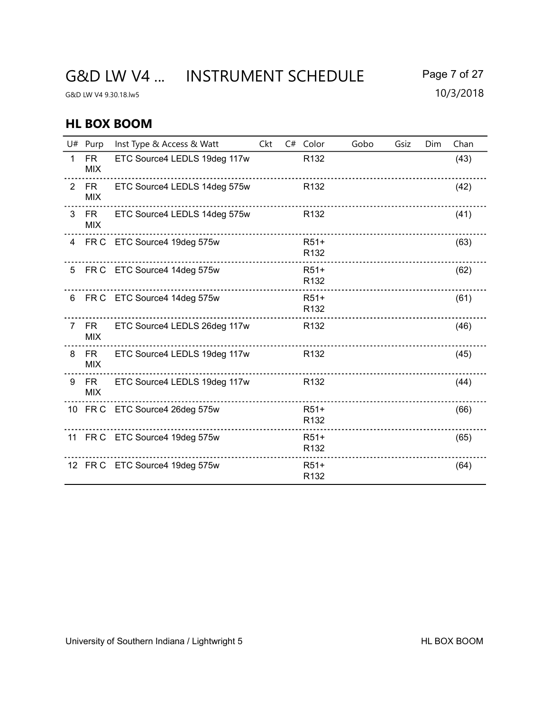# G&D LW V4 ... INSTRUMENT SCHEDULE Page 7 of 27

G&D LW V4 9.30.18.lw5 10/3/2018

#### HL BOX BOOM

|              | U# Purp                 | Inst Type & Access & Watt      | Ckt | C# Color                   | Gobo | Gsiz | Dim | Chan |
|--------------|-------------------------|--------------------------------|-----|----------------------------|------|------|-----|------|
| $\mathbf{1}$ | <b>FR</b><br><b>MIX</b> | ETC Source4 LEDLS 19deg 117w   |     | R <sub>132</sub>           |      |      |     | (43) |
|              | 2 FR<br><b>MIX</b>      | ETC Source4 LEDLS 14deg 575w   |     | R <sub>132</sub>           |      |      |     | (42) |
|              | 3 FR<br><b>MIX</b>      | ETC Source4 LEDLS 14deg 575w   |     | R <sub>132</sub>           |      |      |     | (41) |
|              |                         | 4 FR C ETC Source4 19deg 575w  |     | $R51+$<br>R <sub>132</sub> |      |      |     | (63) |
|              |                         | 5 FR C ETC Source4 14deg 575w  |     | $R51+$<br>R <sub>132</sub> |      |      |     | (62) |
| 6            |                         | FR C ETC Source4 14deg 575w    |     | $R51+$<br>R <sub>132</sub> |      |      |     | (61) |
| $7^{\circ}$  | <b>FR</b><br><b>MIX</b> | ETC Source4 LEDLS 26deg 117w   |     | R <sub>132</sub>           |      |      |     | (46) |
| 8            | FR<br><b>MIX</b>        | ETC Source4 LEDLS 19deg 117w   |     | R <sub>132</sub>           |      |      |     | (45) |
|              | 9 FR<br><b>MIX</b>      | ETC Source4 LEDLS 19deg 117w   |     | R <sub>132</sub>           |      |      |     | (44) |
|              |                         | 10 FR C ETC Source4 26deg 575w |     | $R51+$<br>R <sub>132</sub> |      |      |     | (66) |
|              |                         | 11 FR C ETC Source4 19deg 575w |     | $R51+$<br>R <sub>132</sub> |      |      |     | (65) |
|              |                         | 12 FR C ETC Source4 19deg 575w |     | $R51+$<br>R <sub>132</sub> |      |      |     | (64) |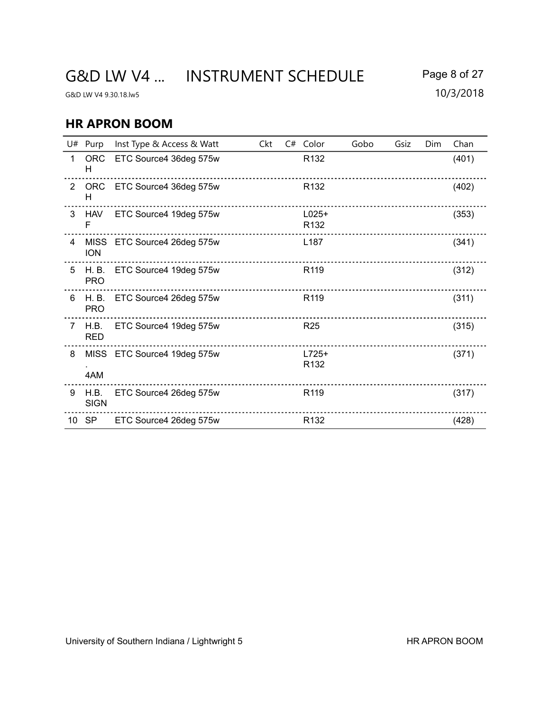# G&D LW V4 ... INSTRUMENT SCHEDULE Page 8 of 27

G&D LW V4 9.30.18.lw5 10/3/2018

### HR APRON BOOM

|                | U# Purp             | Inst Type & Access & Watt    | Ckt | C# Color                    | Gobo | Gsiz | Dim | Chan  |
|----------------|---------------------|------------------------------|-----|-----------------------------|------|------|-----|-------|
| $\mathbf{1}$   | <b>ORC</b><br>H     | ETC Source4 36deg 575w       |     | R <sub>132</sub>            |      |      |     | (401) |
|                | H.                  | 2 ORC ETC Source4 36deg 575w |     | R <sub>132</sub>            |      |      |     | (402) |
| 3              | HAV<br>F            | ETC Source4 19deg 575w       |     | $L025+$<br>R <sub>132</sub> |      |      |     | (353) |
| 4              | <b>ION</b>          | MISS ETC Source4 26deg 575w  |     | L <sub>187</sub>            |      |      |     | (341) |
| 5              | H. B.<br><b>PRO</b> | ETC Source4 19deg 575w       |     | R <sub>119</sub>            |      |      |     | (312) |
| 6              | H. B.<br><b>PRO</b> | ETC Source4 26deg 575w       |     | R119                        |      |      |     | (311) |
| $\overline{7}$ | H.B.<br><b>RED</b>  | ETC Source4 19deg 575w       |     | R <sub>25</sub>             |      |      |     | (315) |
| 8              | 4AM                 | MISS ETC Source4 19deg 575w  |     | $L725+$<br>R <sub>132</sub> |      |      |     | (371) |
| 9              | H.B.<br><b>SIGN</b> | ETC Source4 26deg 575w       |     | R <sub>119</sub>            |      |      |     | (317) |
|                | 10 SP               | ETC Source4 26deg 575w       |     | R <sub>132</sub>            |      |      |     | (428) |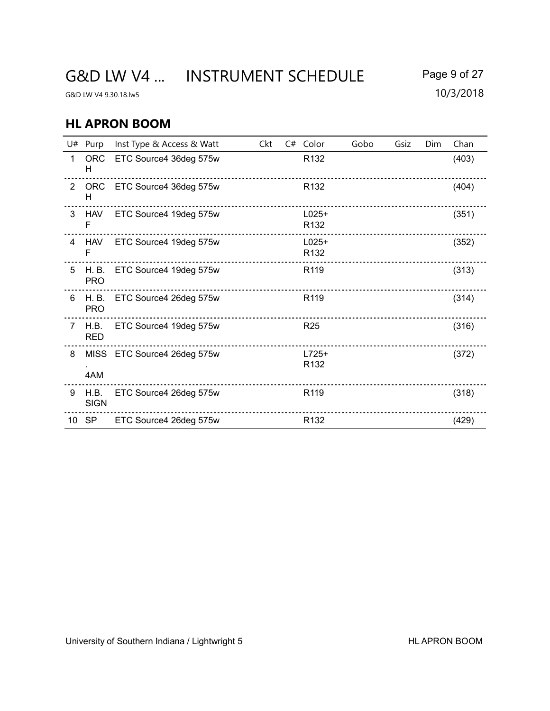# G&D LW V4 ... INSTRUMENT SCHEDULE Page 9 of 27

G&D LW V4 9.30.18.lw5 10/3/2018

#### HL APRON BOOM

|              | U# Purp             | Inst Type & Access & Watt    | Ckt | C# Color                    | Gobo | Gsiz | Dim | Chan  |
|--------------|---------------------|------------------------------|-----|-----------------------------|------|------|-----|-------|
| $\mathbf{1}$ | <b>ORC</b><br>н     | ETC Source4 36deg 575w       |     | R <sub>132</sub>            |      |      |     | (403) |
|              | н                   | 2 ORC ETC Source4 36deg 575w |     | R <sub>132</sub>            |      |      |     | (404) |
| 3            | <b>HAV</b><br>F     | ETC Source4 19deg 575w       |     | $L025+$<br>R <sub>132</sub> |      |      |     | (351) |
| 4            | HAV<br>F            | ETC Source4 19deg 575w       |     | $L025+$<br>R <sub>132</sub> |      |      |     | (352) |
| 5            | H. B.<br><b>PRO</b> | ETC Source4 19deg 575w       |     | R <sub>119</sub>            |      |      |     | (313) |
| 6            | H. B.<br><b>PRO</b> | ETC Source4 26deg 575w       |     | R <sub>119</sub>            |      |      |     | (314) |
| 7            | H.B.<br><b>RED</b>  | ETC Source4 19deg 575w       |     | R <sub>25</sub>             |      |      |     | (316) |
| 8            | 4AM                 | MISS ETC Source4 26deg 575w  |     | $L725+$<br>R <sub>132</sub> |      |      |     | (372) |
| 9            | H.B.<br><b>SIGN</b> | ETC Source4 26deg 575w       |     | R119                        |      |      |     | (318) |
|              | 10 SP               | ETC Source4 26deg 575w       |     | R <sub>132</sub>            |      |      |     | (429) |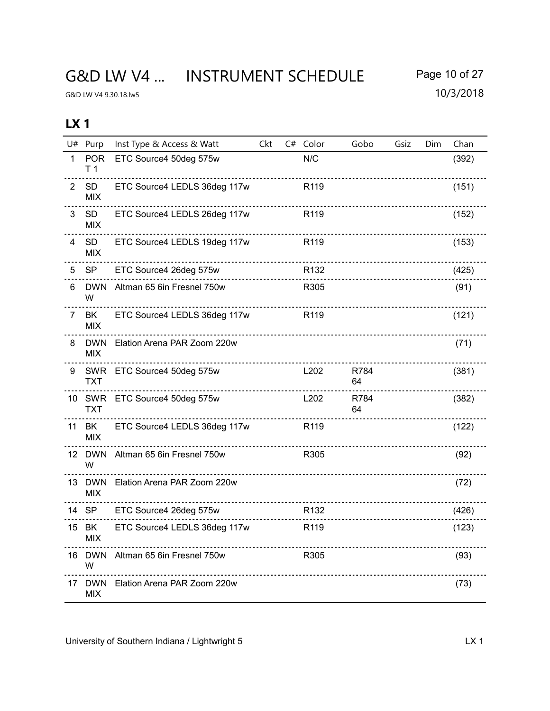## G&D LW V4 ... INSTRUMENT SCHEDULE Page 10 of 27

|                | U# Purp                      | Inst Type & Access & Watt         | Ckt | C# Color         | Gobo       | Gsiz | Dim | Chan  |
|----------------|------------------------------|-----------------------------------|-----|------------------|------------|------|-----|-------|
| 1              | <b>POR</b><br>T <sub>1</sub> | ETC Source4 50deg 575w            |     | N/C              |            |      |     | (392) |
| $\overline{2}$ | <b>SD</b><br><b>MIX</b>      | ETC Source4 LEDLS 36deg 117w      |     | R119             |            |      |     | (151) |
| 3              | <b>SD</b><br><b>MIX</b>      | ETC Source4 LEDLS 26deg 117w      |     | R119             |            |      |     | (152) |
| 4              | <b>SD</b><br><b>MIX</b>      | ETC Source4 LEDLS 19deg 117w      |     | R <sub>119</sub> |            |      |     | (153) |
| 5              | <b>SP</b>                    | ETC Source4 26deg 575w            |     | R132             |            |      |     | (425) |
| 6              | W                            | DWN Altman 65 6in Fresnel 750w    |     | R305             |            |      |     | (91)  |
| 7              | BK<br><b>MIX</b>             | ETC Source4 LEDLS 36deg 117w      |     | R <sub>119</sub> |            |      |     | (121) |
| 8              | <b>DWN</b><br><b>MIX</b>     | Elation Arena PAR Zoom 220w       |     |                  |            |      |     | (71)  |
| 9              | TXT                          | SWR ETC Source4 50deg 575w        |     | L202             | R784<br>64 |      |     | (381) |
|                | TXT                          | 10 SWR ETC Source4 50deg 575w     |     | L202             | R784<br>64 |      |     | (382) |
|                | 11 BK<br><b>MIX</b>          | ETC Source4 LEDLS 36deg 117w      |     | R <sub>119</sub> |            |      |     | (122) |
|                | W                            | 12 DWN Altman 65 6in Fresnel 750w |     | R305             |            |      |     | (92)  |
|                | 13 DWN<br>MIX                | Elation Arena PAR Zoom 220w       |     |                  |            |      |     | (72)  |
|                | 14 SP                        | ETC Source4 26deg 575w            |     | R132             |            |      |     | (426) |
|                | 15 BK<br><b>MIX</b>          | ETC Source4 LEDLS 36deg 117w      |     | R119             |            |      |     | (123) |
|                | 16 DWN<br>W                  | Altman 65 6in Fresnel 750w        |     | R305             |            |      |     | (93)  |
| 17             | DWN<br><b>MIX</b>            | Elation Arena PAR Zoom 220w       |     |                  |            |      |     | (73)  |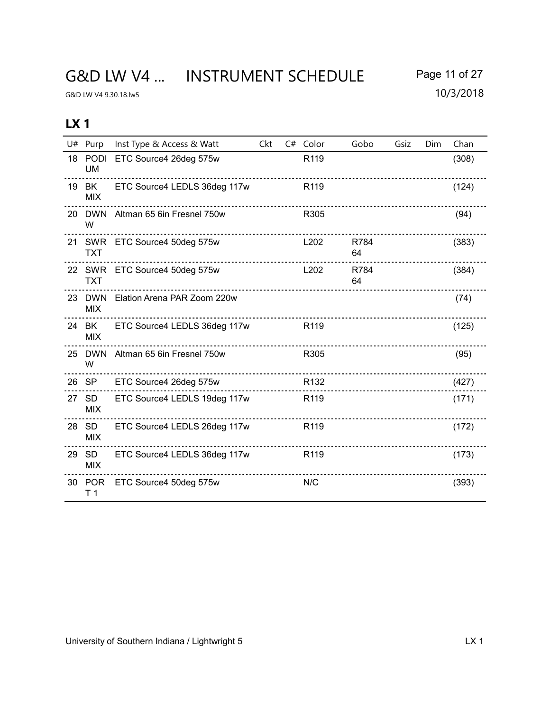## G&D LW V4 ... INSTRUMENT SCHEDULE Page 11 of 27

G&D LW V4 9.30.18.lw5 10/3/2018

| U# Purp              | Inst Type & Access & Watt     | Ckt | C# Color         | Gobo       | Gsiz | Dim | Chan  |
|----------------------|-------------------------------|-----|------------------|------------|------|-----|-------|
| 18 PODI<br><b>UM</b> | ETC Source4 26deg 575w        |     | R119             |            |      |     | (308) |
| 19 BK<br><b>MIX</b>  | ETC Source4 LEDLS 36deg 117w  |     | R <sub>119</sub> |            |      |     | (124) |
| 20 DWN<br>W          | Altman 65 6in Fresnel 750w    |     | R305             |            |      |     | (94)  |
| <b>TXT</b>           | 21 SWR ETC Source4 50deg 575w |     | L202             | R784<br>64 |      |     | (383) |
| <b>TXT</b>           | 22 SWR ETC Source4 50deg 575w |     | L202             | R784<br>64 |      |     | (384) |
| 23 DWN<br><b>MIX</b> | Elation Arena PAR Zoom 220w   |     |                  |            |      |     | (74)  |
| 24 BK<br><b>MIX</b>  | ETC Source4 LEDLS 36deg 117w  |     | R <sub>119</sub> |            |      |     | (125) |
| 25 DWN<br>W          | Altman 65 6in Fresnel 750w    |     | R305             |            |      |     | (95)  |
| 26 SP                | ETC Source4 26deg 575w        |     | R <sub>132</sub> |            |      |     | (427) |
| 27 SD<br><b>MIX</b>  | ETC Source4 LEDLS 19deg 117w  |     | R <sub>119</sub> |            |      |     | (171) |
| 28 SD<br><b>MIX</b>  | ETC Source4 LEDLS 26deg 117w  |     | R119             |            |      |     | (172) |
| 29 SD<br><b>MIX</b>  | ETC Source4 LEDLS 36deg 117w  |     | R <sub>119</sub> |            |      |     | (173) |
| 30 POR<br>T 1        | ETC Source4 50deg 575w        |     | N/C              |            |      |     | (393) |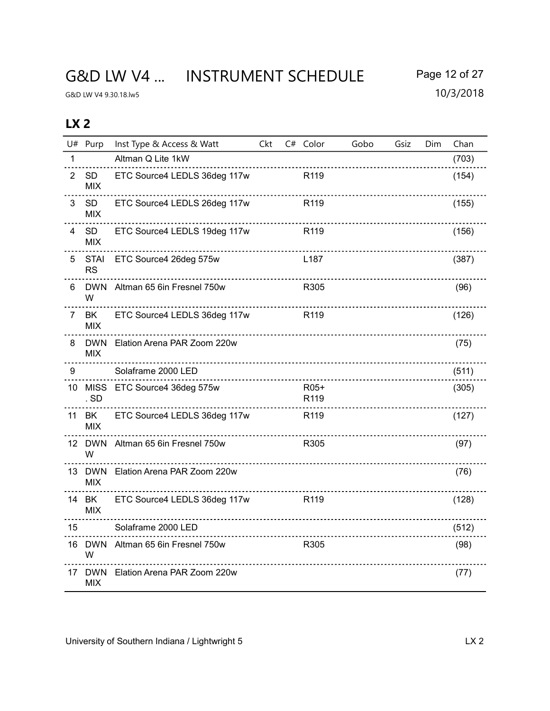|                | U# Purp                  | Inst Type & Access & Watt          | Ckt | C# Color         | Gobo | Gsiz | Dim | Chan  |
|----------------|--------------------------|------------------------------------|-----|------------------|------|------|-----|-------|
| 1              |                          | Altman Q Lite 1kW                  |     |                  |      |      |     | (703) |
| $\overline{2}$ | <b>SD</b><br><b>MIX</b>  | ETC Source4 LEDLS 36deg 117w       |     | R119             |      |      |     | (154) |
| 3              | <b>SD</b><br><b>MIX</b>  | ETC Source4 LEDLS 26deg 117w       |     | R <sub>119</sub> |      |      |     | (155) |
| 4              | <b>SD</b><br><b>MIX</b>  | ETC Source4 LEDLS 19deg 117w       |     | R119             |      |      |     | (156) |
| 5              | <b>STAI</b><br><b>RS</b> | ETC Source4 26deg 575w             |     | L187             |      |      |     | (387) |
| 6              | W                        | DWN Altman 65 6in Fresnel 750w     |     | R305             |      |      |     | (96)  |
| 7              | <b>BK</b><br><b>MIX</b>  | ETC Source4 LEDLS 36deg 117w       |     | R119             |      |      |     | (126) |
| 8              | <b>DWN</b><br><b>MIX</b> | Elation Arena PAR Zoom 220w        |     |                  |      |      |     | (75)  |
| 9              |                          | Solaframe 2000 LED                 |     |                  |      |      |     | (511) |
| 10             | . SD                     | MISS ETC Source4 36deg 575w        |     | R05+<br>R119     |      |      |     | (305) |
| 11             | BK<br><b>MIX</b>         | ETC Source4 LEDLS 36deg 117w       |     | R <sub>119</sub> |      |      |     | (127) |
|                | W                        | 12 DWN Altman 65 6in Fresnel 750w  |     | R305             |      |      |     | (97)  |
|                | <b>MIX</b>               | 13 DWN Elation Arena PAR Zoom 220w |     |                  |      |      |     | (76)  |
|                | 14 BK<br>MIX             | ETC Source4 LEDLS 36deg 117w       |     | R <sub>119</sub> |      |      |     | (128) |
| 15             |                          | Solaframe 2000 LED                 |     |                  |      |      |     | (512) |
|                | W                        | 16 DWN Altman 65 6in Fresnel 750w  |     | R305             |      |      |     | (98)  |
|                | <b>MIX</b>               | DWN Elation Arena PAR Zoom 220w    |     |                  |      |      |     | (77)  |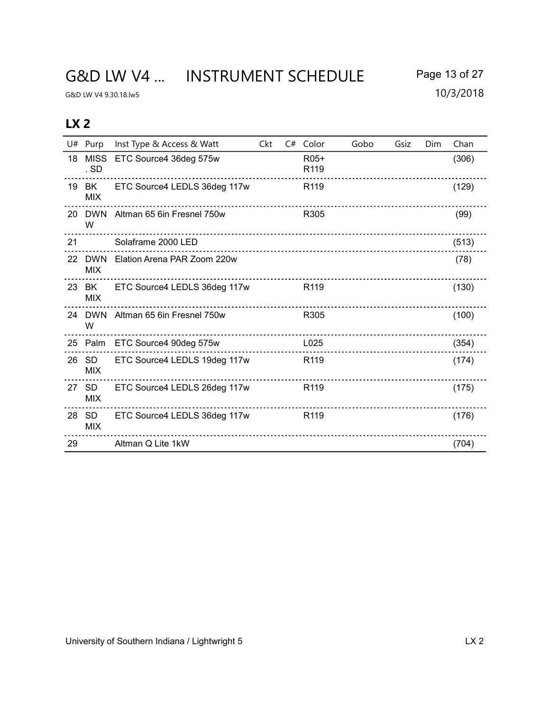## G&D LW V4 ... INSTRUMENT SCHEDULE Page 13 of 27

G&D LW V4 9.30.18.lw5 10/3/2018

|    | U# Purp              | Inst Type & Access & Watt      | Ckt | C# | Color            | Gobo | Gsiz | Dim | Chan  |
|----|----------------------|--------------------------------|-----|----|------------------|------|------|-----|-------|
|    | 18 MISS<br>.SD       | ETC Source4 36deg 575w         |     |    | R05+<br>R119     |      |      |     | (306) |
|    | 19 BK<br><b>MIX</b>  | ETC Source4 LEDLS 36deg 117w   |     |    | R <sub>119</sub> |      |      |     | (129) |
|    | 20 DWN<br>W          | Altman 65 6in Fresnel 750w     |     |    | R <sub>305</sub> |      |      |     | (99)  |
| 21 |                      | Solaframe 2000 LED             |     |    |                  |      |      |     | (513) |
|    | 22 DWN<br><b>MIX</b> | Elation Arena PAR Zoom 220w    |     |    |                  |      |      |     | (78)  |
|    | 23 BK<br><b>MIX</b>  | ETC Source4 LEDLS 36deg 117w   |     |    | R <sub>119</sub> |      |      |     | (130) |
|    | 24 DWN<br>W          | Altman 65 6in Fresnel 750w     |     |    | R305             |      |      |     | (100) |
|    |                      | 25 Palm ETC Source4 90deg 575w |     |    | L025             |      |      |     | (354) |
|    | 26 SD<br><b>MIX</b>  | ETC Source4 LEDLS 19deg 117w   |     |    | R <sub>119</sub> |      |      |     | (174) |
|    | 27 SD<br><b>MIX</b>  | ETC Source4 LEDLS 26deg 117w   |     |    | R <sub>119</sub> |      |      |     | (175) |
|    | 28 SD<br><b>MIX</b>  | ETC Source4 LEDLS 36deg 117w   |     |    | R <sub>119</sub> |      |      |     | (176) |
| 29 |                      | Altman Q Lite 1kW              |     |    |                  |      |      |     | (704) |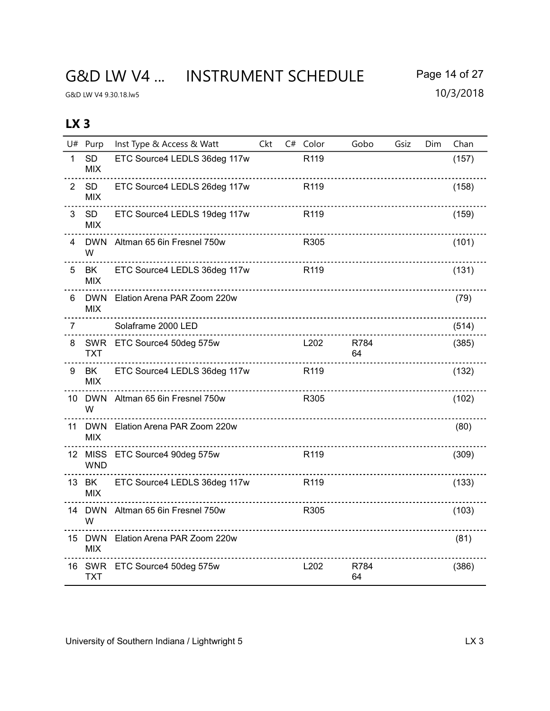## G&D LW V4 ... INSTRUMENT SCHEDULE Page 14 of 27

G&D LW V4 9.30.18.lw5 10/3/2018

|                | U# Purp                 | Inst Type & Access & Watt                | Ckt | C# Color         | Gobo       | Gsiz | Dim | Chan  |
|----------------|-------------------------|------------------------------------------|-----|------------------|------------|------|-----|-------|
| 1              | <b>SD</b><br><b>MIX</b> | ETC Source4 LEDLS 36deg 117w             |     | R119             |            |      |     | (157) |
| 2              | <b>SD</b><br><b>MIX</b> | ETC Source4 LEDLS 26deg 117w             |     | R <sub>119</sub> |            |      |     | (158) |
| $\mathbf{3}$   | SD<br><b>MIX</b>        | ETC Source4 LEDLS 19deg 117w             |     | R119             |            |      |     | (159) |
| 4              | W                       | DWN Altman 65 6in Fresnel 750w           |     | R305             |            |      |     | (101) |
| 5              | BK<br><b>MIX</b>        | ETC Source4 LEDLS 36deg 117w             |     | R <sub>119</sub> |            |      |     | (131) |
| 6              | MIX                     | DWN Elation Arena PAR Zoom 220w          |     |                  |            |      |     | (79)  |
| $\overline{7}$ |                         | Solaframe 2000 LED                       |     |                  |            |      |     | (514) |
| 8              | <b>TXT</b>              | SWR ETC Source4 50deg 575w               |     | L202             | R784<br>64 |      |     | (385) |
| 9              | BK<br><b>MIX</b>        | ETC Source4 LEDLS 36deg 117w<br><u>.</u> |     | R <sub>119</sub> |            |      |     | (132) |
|                | W                       | 10 DWN Altman 65 6in Fresnel 750w        |     | R305             |            |      |     | (102) |
|                | <b>MIX</b>              | 11 DWN Elation Arena PAR Zoom 220w       |     |                  |            |      |     | (80)  |
|                | <b>WND</b>              | 12 MISS ETC Source4 90deg 575w           |     | R119             |            |      |     | (309) |
|                | 13 BK<br><b>MIX</b>     | ETC Source4 LEDLS 36deg 117w             |     | R119             |            |      |     | (133) |
|                | W                       | 14 DWN Altman 65 6in Fresnel 750w        |     | R305             |            |      |     | (103) |
|                | <b>MIX</b>              | 15 DWN Elation Arena PAR Zoom 220w       |     |                  |            |      |     | (81)  |
|                | TXT                     | 16 SWR ETC Source4 50deg 575w            |     | L202             | R784<br>64 |      |     | (386) |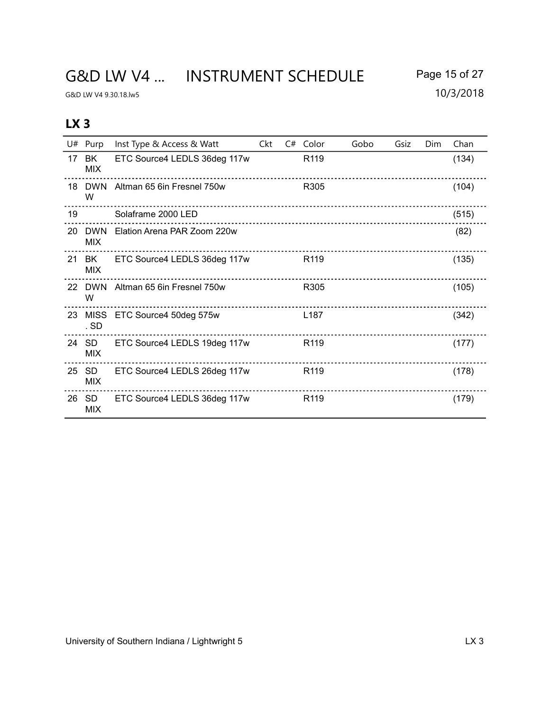## G&D LW V4 ... INSTRUMENT SCHEDULE Page 15 of 27

G&D LW V4 9.30.18.lw5 10/3/2018

|                 | U# Purp              | Inst Type & Access & Watt    | Ckt | $C#$ Color       | Gobo | Gsiz | Dim | Chan  |
|-----------------|----------------------|------------------------------|-----|------------------|------|------|-----|-------|
| 17 <sup>2</sup> | BK<br><b>MIX</b>     | ETC Source4 LEDLS 36deg 117w |     | R119             |      |      |     | (134) |
|                 | <b>18 DWN</b><br>W   | Altman 65 6in Fresnel 750w   |     | R305             |      |      |     | (104) |
| 19              |                      | Solaframe 2000 LED           |     |                  |      |      |     | (515) |
|                 | 20 DWN<br><b>MIX</b> | Elation Arena PAR Zoom 220w  |     |                  |      |      |     | (82)  |
|                 | 21 BK<br><b>MIX</b>  | ETC Source4 LEDLS 36deg 117w |     | R <sub>119</sub> |      |      |     | (135) |
|                 | 22 DWN<br>W          | Altman 65 6in Fresnel 750w   |     | R305             |      |      |     | (105) |
|                 | 23 MISS<br>. SD      | ETC Source4 50deg 575w       |     | L <sub>187</sub> |      |      |     | (342) |
|                 | 24 SD<br><b>MIX</b>  | ETC Source4 LEDLS 19deg 117w |     | R <sub>119</sub> |      |      |     | (177) |
|                 | 25 SD<br><b>MIX</b>  | ETC Source4 LEDLS 26deg 117w |     | R <sub>119</sub> |      |      |     | (178) |
|                 | 26 SD<br><b>MIX</b>  | ETC Source4 LEDLS 36deg 117w |     | R <sub>119</sub> |      |      |     | (179) |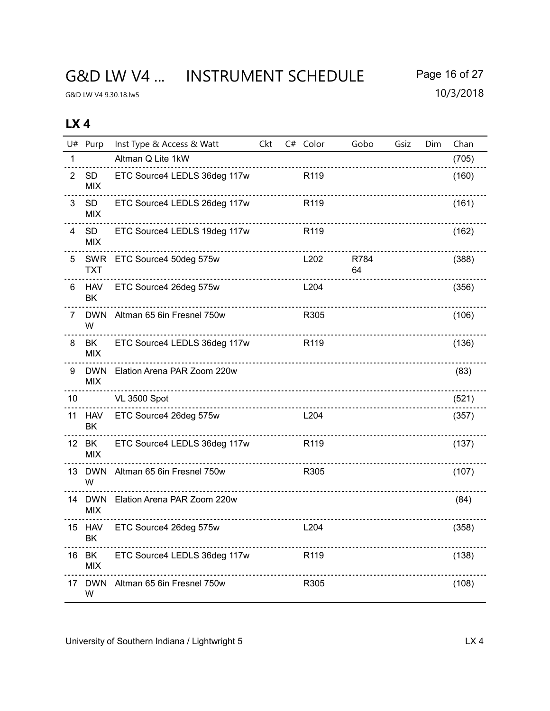|             | U# Purp                 | Inst Type & Access & Watt          | Ckt | C# Color         | Gobo       | Gsiz | Dim | Chan  |
|-------------|-------------------------|------------------------------------|-----|------------------|------------|------|-----|-------|
| $\mathbf 1$ |                         | Altman Q Lite 1kW                  |     |                  |            |      |     | (705) |
| 2           | <b>SD</b><br><b>MIX</b> | ETC Source4 LEDLS 36deg 117w       |     | R <sub>119</sub> |            |      |     | (160) |
| 3           | SD<br><b>MIX</b>        | ETC Source4 LEDLS 26deg 117w       |     | R <sub>119</sub> |            |      |     | (161) |
| 4           | <b>SD</b><br><b>MIX</b> | ETC Source4 LEDLS 19deg 117w       |     | R <sub>119</sub> |            |      |     | (162) |
| 5           | SWR<br>TXT              | ETC Source4 50deg 575w             |     | L202             | R784<br>64 |      |     | (388) |
| 6           | <b>HAV</b><br>BK        | ETC Source4 26deg 575w             |     | L204             |            |      |     | (356) |
|             | W                       | 7 DWN Altman 65 6in Fresnel 750w   |     | R305             |            |      |     | (106) |
| 8           | BK<br><b>MIX</b>        | ETC Source4 LEDLS 36deg 117w       |     | R <sub>119</sub> |            |      |     | (136) |
| 9           | <b>DWN</b><br>MIX       | Elation Arena PAR Zoom 220w        |     |                  |            |      |     | (83)  |
| 10          |                         | <b>VL 3500 Spot</b>                |     |                  |            |      |     | (521) |
|             | 11 HAV<br>BK            | ETC Source4 26deg 575w             |     | L <sub>204</sub> |            |      |     | (357) |
|             | 12 BK<br><b>MIX</b>     | ETC Source4 LEDLS 36deg 117w       |     | R <sub>119</sub> |            |      |     | (137) |
|             | W                       | 13 DWN Altman 65 6in Fresnel 750w  |     | R305             |            |      |     | (107) |
|             | <b>MIX</b>              | 14 DWN Elation Arena PAR Zoom 220w |     |                  |            |      |     | (84)  |
|             | 15 HAV<br>BK            | ETC Source4 26deg 575w             |     | L204             |            |      |     | (358) |
|             | 16 BK<br><b>MIX</b>     | ETC Source4 LEDLS 36deg 117w       |     | R <sub>119</sub> |            |      |     | (138) |
|             | 17 DWN<br>W             | Altman 65 6in Fresnel 750w         |     | R305             |            |      |     | (108) |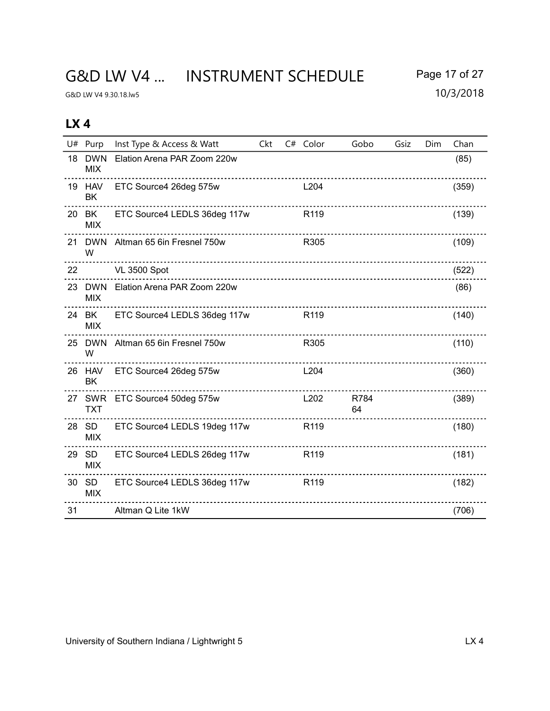## G&D LW V4 ... INSTRUMENT SCHEDULE Page 17 of 27

G&D LW V4 9.30.18.lw5 10/3/2018

|    | U# Purp                  | Inst Type & Access & Watt         | Ckt | C# Color         | Gobo       | Gsiz | Dim | Chan  |
|----|--------------------------|-----------------------------------|-----|------------------|------------|------|-----|-------|
| 18 | <b>DWN</b><br><b>MIX</b> | Elation Arena PAR Zoom 220w       |     |                  |            |      |     | (85)  |
|    | 19 HAV<br>BK             | ETC Source4 26deg 575w            |     | L204             |            |      |     | (359) |
|    | 20 BK<br><b>MIX</b>      | ETC Source4 LEDLS 36deg 117w      |     | R <sub>119</sub> |            |      |     | (139) |
|    | W                        | 21 DWN Altman 65 6in Fresnel 750w |     | R305             |            |      |     | (109) |
| 22 |                          | <b>VL 3500 Spot</b>               |     |                  |            |      |     | (522) |
|    | 23 DWN<br><b>MIX</b>     | Elation Arena PAR Zoom 220w       |     |                  |            |      |     | (86)  |
|    | 24 BK<br><b>MIX</b>      | ETC Source4 LEDLS 36deg 117w      |     | R <sub>119</sub> |            |      |     | (140) |
|    | 25 DWN<br>W              | Altman 65 6in Fresnel 750w        |     | R305             |            |      |     | (110) |
|    | 26 HAV<br>BK             | ETC Source4 26deg 575w            |     | L204             |            |      |     | (360) |
|    | TXT                      | 27 SWR ETC Source4 50deg 575w     |     | L202             | R784<br>64 |      |     | (389) |
|    | 28 SD<br><b>MIX</b>      | ETC Source4 LEDLS 19deg 117w      |     | R <sub>119</sub> |            |      |     | (180) |
|    | 29 SD<br><b>MIX</b>      | ETC Source4 LEDLS 26deg 117w      |     | R <sub>119</sub> |            |      |     | (181) |
|    | 30 SD<br><b>MIX</b>      | ETC Source4 LEDLS 36deg 117w      |     | R <sub>119</sub> |            |      |     | (182) |
| 31 |                          | Altman Q Lite 1kW                 |     |                  |            |      |     | (706) |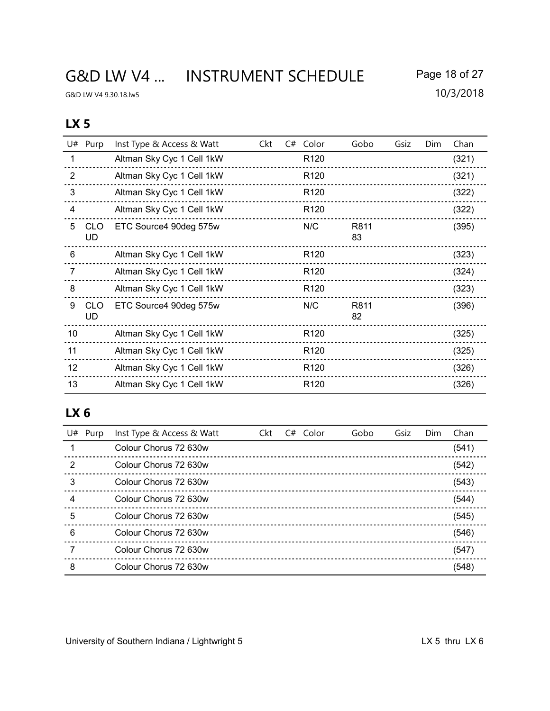## G&D LW V4 ... INSTRUMENT SCHEDULE Page 18 of 27

G&D LW V4 9.30.18.lw5 10/3/2018

## LX 5

|                | U# Purp          | Inst Type & Access & Watt | Ckt | C# | Color            | Gobo       | Gsiz | Dim | Chan  |
|----------------|------------------|---------------------------|-----|----|------------------|------------|------|-----|-------|
| 1              |                  | Altman Sky Cyc 1 Cell 1kW |     |    | R <sub>120</sub> |            |      |     | (321) |
| $\overline{2}$ |                  | Altman Sky Cyc 1 Cell 1kW |     |    | R <sub>120</sub> |            |      |     | (321) |
| 3              |                  | Altman Sky Cyc 1 Cell 1kW |     |    | R <sub>120</sub> |            |      |     | (322) |
| 4              |                  | Altman Sky Cyc 1 Cell 1kW |     |    | R <sub>120</sub> |            |      |     | (322) |
| 5              | <b>CLO</b><br>UD | ETC Source4 90deg 575w    |     |    | N/C              | R811<br>83 |      |     | (395) |
| 6              |                  | Altman Sky Cyc 1 Cell 1kW |     |    | R <sub>120</sub> |            |      |     | (323) |
| $\overline{7}$ |                  | Altman Sky Cyc 1 Cell 1kW |     |    | R <sub>120</sub> |            |      |     | (324) |
| 8              |                  | Altman Sky Cyc 1 Cell 1kW |     |    | R <sub>120</sub> |            |      |     | (323) |
| 9              | <b>CLO</b><br>UD | ETC Source4 90deg 575w    |     |    | N/C              | R811<br>82 |      |     | (396) |
| 10             |                  | Altman Sky Cyc 1 Cell 1kW |     |    | R <sub>120</sub> |            |      |     | (325) |
| 11             |                  | Altman Sky Cyc 1 Cell 1kW |     |    | R <sub>120</sub> |            |      |     | (325) |
| 12             |                  | Altman Sky Cyc 1 Cell 1kW |     |    | R <sub>120</sub> |            |      |     | (326) |
| 13             |                  | Altman Sky Cyc 1 Cell 1kW |     |    | R <sub>120</sub> |            |      |     | (326) |

| U# | Purp | Inst Type & Access & Watt | Ckt | $C#$ Color | Gobo | Gsiz | Dim | Chan  |
|----|------|---------------------------|-----|------------|------|------|-----|-------|
|    |      | Colour Chorus 72 630w     |     |            |      |      |     | (541) |
| 2  |      | Colour Chorus 72 630w     |     |            |      |      |     | (542) |
| 3  |      | Colour Chorus 72 630w     |     |            |      |      |     | (543) |
| 4  |      | Colour Chorus 72 630w     |     |            |      |      |     | (544) |
| 5  |      | Colour Chorus 72 630w     |     |            |      |      |     | (545) |
| 6  |      | Colour Chorus 72 630w     |     |            |      |      |     | (546) |
|    |      | Colour Chorus 72 630w     |     |            |      |      |     | (547) |
| 8  |      | Colour Chorus 72 630w     |     |            |      |      |     | (548) |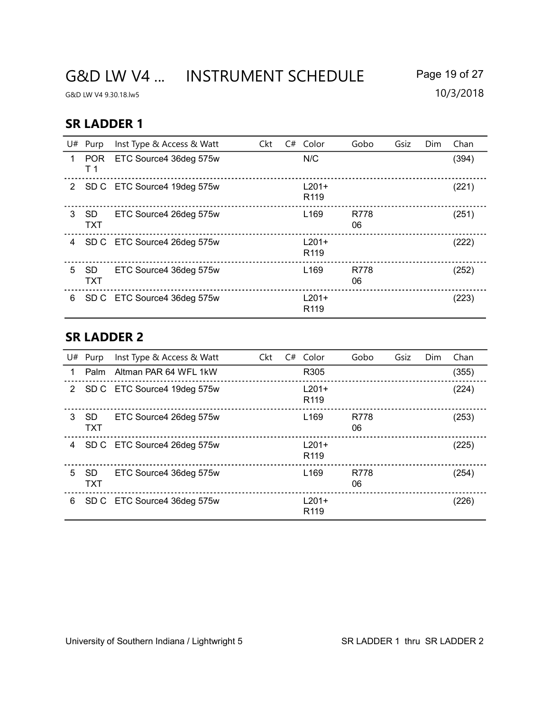# G&D LW V4 ... INSTRUMENT SCHEDULE Page 19 of 27

G&D LW V4 9.30.18.lw5 10/3/2018

#### SR LADDER 1

| U# | Purp                    | Inst Type & Access & Watt     | Ckt | C# Color                    | Gobo       | Gsiz | Dim | Chan  |
|----|-------------------------|-------------------------------|-----|-----------------------------|------------|------|-----|-------|
| 1  | <b>POR</b><br>T 1       | ETC Source4 36deg 575w        |     | N/C                         |            |      |     | (394) |
|    |                         | 2 SD C ETC Source4 19deg 575w |     | $L201+$<br>R <sub>119</sub> |            |      |     | (221) |
| 3  | <b>SD</b><br><b>TXT</b> | ETC Source4 26deg 575w        |     | L <sub>169</sub>            | R778<br>06 |      |     | (251) |
| 4  |                         | SD C ETC Source4 26deg 575w   |     | $L201+$<br>R <sub>119</sub> |            |      |     | (222) |
| 5  | <b>SD</b><br><b>TXT</b> | ETC Source4 36deg 575w        |     | L <sub>169</sub>            | R778<br>06 |      |     | (252) |
| 6  |                         | SD C ETC Source4 36deg 575w   |     | $L201+$<br>R <sub>119</sub> |            |      |     | (223) |

#### SR LADDER 2

|   | $U#$ Purp         | Inst Type & Access & Watt     | Ckt | $C#$ Color                  | Gobo       | Gsiz | Dim | Chan  |
|---|-------------------|-------------------------------|-----|-----------------------------|------------|------|-----|-------|
| 1 | Palm              | Altman PAR 64 WFL 1kW         |     | R <sub>305</sub>            |            |      |     | (355) |
|   |                   | 2 SD C ETC Source4 19deg 575w |     | $L201+$<br>R <sub>119</sub> |            |      |     | (224) |
| 3 | -SD<br><b>TXT</b> | ETC Source4 26deg 575w        |     | L <sub>169</sub>            | R778<br>06 |      |     | (253) |
| 4 |                   | SD C ETC Source4 26deg 575w   |     | $L201+$<br>R <sub>119</sub> |            |      |     | (225) |
| 5 | -SD<br><b>TXT</b> | ETC Source4 36deg 575w        |     | L <sub>169</sub>            | R778<br>06 |      |     | (254) |
| 6 |                   | SD C ETC Source4 36deg 575w   |     | $L201+$<br>R <sub>119</sub> |            |      |     | (226) |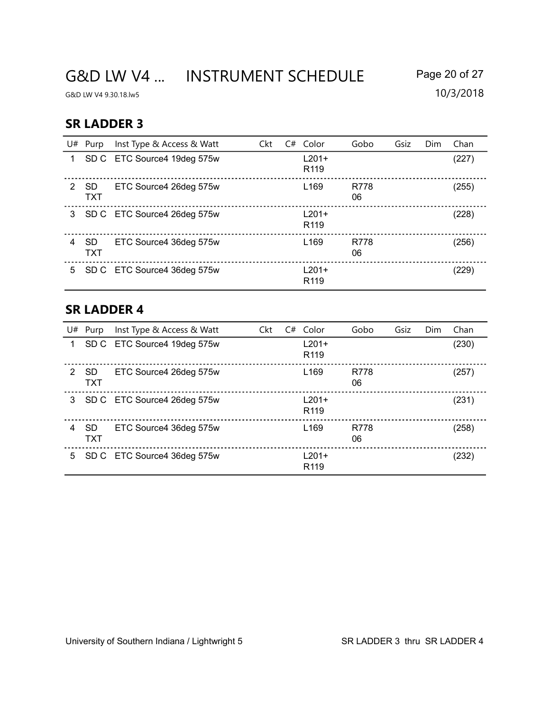# G&D LW V4 ... INSTRUMENT SCHEDULE Page 20 of 27

G&D LW V4 9.30.18.lw5 10/3/2018

#### SR LADDER 3

|    | $U#$ Purp         | Inst Type & Access & Watt     | <b>Ckt</b> | C# | Color                       | Gobo       | Gsiz | Dim | Chan  |
|----|-------------------|-------------------------------|------------|----|-----------------------------|------------|------|-----|-------|
| 1. |                   | SD C ETC Source4 19deg 575w   |            |    | $L201+$<br>R <sub>119</sub> |            |      |     | (227) |
| 2  | -SD<br><b>TXT</b> | ETC Source4 26deg 575w        |            |    | L <sub>169</sub>            | R778<br>06 |      |     | (255) |
| 3  |                   | SD C ETC Source4 26deg 575w   |            |    | $L201+$<br>R <sub>119</sub> |            |      |     | (228) |
| 4  | -SD<br><b>TXT</b> | ETC Source4 36deg 575w        |            |    | L <sub>169</sub>            | R778<br>06 |      |     | (256) |
|    |                   | 5 SD C ETC Source4 36deg 575w |            |    | $L201+$<br>R <sub>119</sub> |            |      |     | (229) |

#### SR LADDER 4

| U# | Purp              | Inst Type & Access & Watt     | Ckt | $C#$ Color                  | Gobo       | Gsiz | Dim | Chan  |
|----|-------------------|-------------------------------|-----|-----------------------------|------------|------|-----|-------|
| 1. |                   | SD C ETC Source4 19deg 575w   |     | $L201+$<br>R <sub>119</sub> |            |      |     | (230) |
| 2  | -SD<br><b>TXT</b> | ETC Source4 26deg 575w        |     | L <sub>169</sub>            | R778<br>06 |      |     | (257) |
| 3  |                   | SD C ETC Source4 26deg 575w   |     | $L201+$<br>R <sub>119</sub> |            |      |     | (231) |
| 4  | -SD<br><b>TXT</b> | ETC Source4 36deg 575w        |     | L <sub>169</sub>            | R778<br>06 |      |     | (258) |
|    |                   | 5 SD C ETC Source4 36deg 575w |     | $L201+$<br>R <sub>119</sub> |            |      |     | (232) |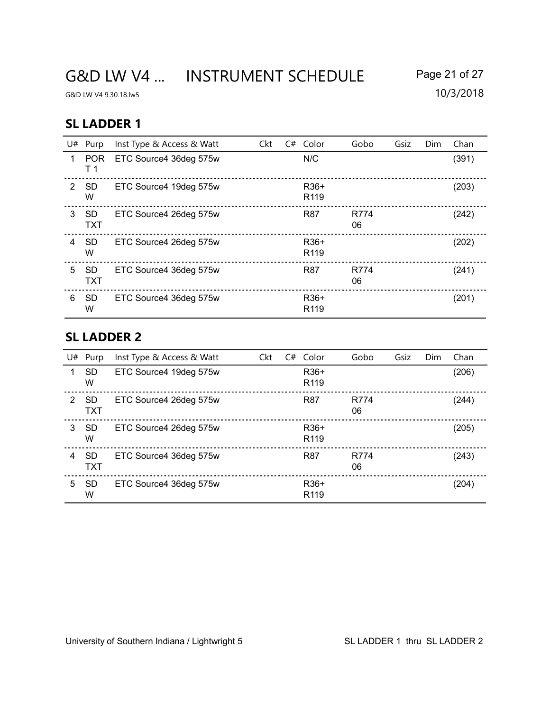# G&D LW V4 ... INSTRUMENT SCHEDULE Page 21 of 27

G&D LW V4 9.30.18.lw5 10/3/2018

### SL LADDER 1

|    | $U#$ Purp               | Inst Type & Access & Watt | <b>Ckt</b> | C# Color                 | Gobo       | Gsiz | Dim | Chan  |
|----|-------------------------|---------------------------|------------|--------------------------|------------|------|-----|-------|
| 1. | <b>POR</b><br>T 1       | ETC Source4 36deg 575w    |            | N/C                      |            |      |     | (391) |
| 2  | <b>SD</b><br>W          | ETC Source4 19deg 575w    |            | R36+<br>R <sub>119</sub> |            |      |     | (203) |
| 3  | <b>SD</b><br><b>TXT</b> | ETC Source4 26deg 575w    |            | <b>R87</b>               | R774<br>06 |      |     | (242) |
| 4  | -SD<br>W                | ETC Source4 26deg 575w    |            | R36+<br>R119             |            |      |     | (202) |
| 5  | -SD<br><b>TXT</b>       | ETC Source4 36deg 575w    |            | R87                      | R774<br>06 |      |     | (241) |
| 6  | <b>SD</b><br>w          | ETC Source4 36deg 575w    |            | R36+<br>R <sub>119</sub> |            |      |     | (201) |

#### SL LADDER 2

| U# | Purp                    | Inst Type & Access & Watt | <b>Ckt</b> | $C#$ Color                            | Gobo       | Gsiz | Dim | Chan  |
|----|-------------------------|---------------------------|------------|---------------------------------------|------------|------|-----|-------|
|    | <b>SD</b><br>W          | ETC Source4 19deg 575w    |            | R <sub>36</sub> +<br>R <sub>119</sub> |            |      |     | (206) |
| 2  | <b>SD</b><br><b>TXT</b> | ETC Source4 26deg 575w    |            | <b>R87</b>                            | R774<br>06 |      |     | (244) |
| 3  | -SD<br>W                | ETC Source4 26deg 575w    |            | R <sub>36</sub> +<br>R <sub>119</sub> |            |      |     | (205) |
| 4  | <b>SD</b><br><b>TXT</b> | ETC Source4 36deg 575w    |            | <b>R87</b>                            | R774<br>06 |      |     | (243) |
| 5. | <b>SD</b><br>W          | ETC Source4 36deg 575w    |            | R <sub>36</sub> +<br>R <sub>119</sub> |            |      |     | (204) |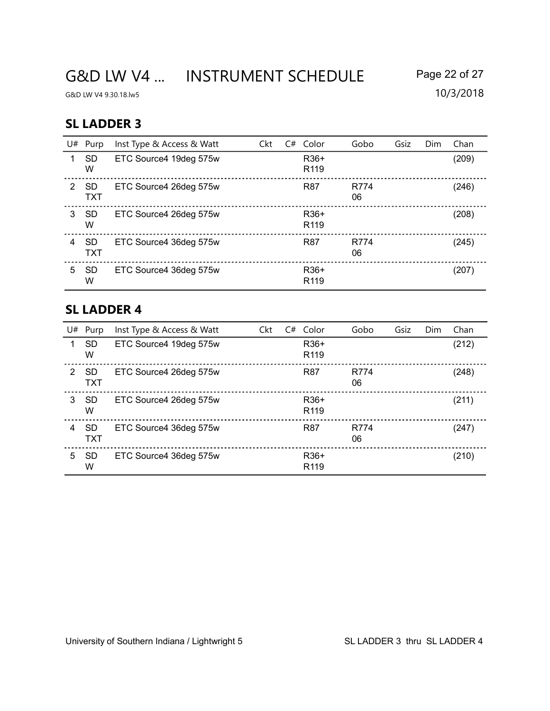# G&D LW V4 ... INSTRUMENT SCHEDULE Page 22 of 27

G&D LW V4 9.30.18.lw5 10/3/2018

#### SL LADDER 3

|    | $U#$ Purp               | Inst Type & Access & Watt | Ckt | C# | Color                                 | Gobo       | Gsiz | Dim | Chan  |
|----|-------------------------|---------------------------|-----|----|---------------------------------------|------------|------|-----|-------|
|    | <b>SD</b><br>W          | ETC Source4 19deg 575w    |     |    | R36+<br>R <sub>119</sub>              |            |      |     | (209) |
| 2  | <b>SD</b><br>TXT        | ETC Source4 26deg 575w    |     |    | <b>R87</b>                            | R774<br>06 |      |     | (246) |
| 3  | <b>SD</b><br>w          | ETC Source4 26deg 575w    |     |    | R <sub>36</sub> +<br>R <sub>119</sub> |            |      |     | (208) |
| 4  | <b>SD</b><br><b>TXT</b> | ETC Source4 36deg 575w    |     |    | R87                                   | R774<br>06 |      |     | (245) |
| 5. | <b>SD</b><br>W          | ETC Source4 36deg 575w    |     |    | R36+<br>R <sub>119</sub>              |            |      |     | (207) |

#### SL LADDER 4

| U# | Purp                    | Inst Type & Access & Watt | Ckt | $C#$ Color               | Gobo       | Gsiz | Dim | Chan  |
|----|-------------------------|---------------------------|-----|--------------------------|------------|------|-----|-------|
|    | <b>SD</b><br>W          | ETC Source4 19deg 575w    |     | R36+<br>R <sub>119</sub> |            |      |     | (212) |
| 2  | <b>SD</b><br><b>TXT</b> | ETC Source4 26deg 575w    |     | R87                      | R774<br>06 |      |     | (248) |
| 3  | SD<br>W                 | ETC Source4 26deg 575w    |     | R36+<br>R <sub>119</sub> |            |      |     | (211) |
| 4  | <b>SD</b><br><b>TXT</b> | ETC Source4 36deg 575w    |     | R87                      | R774<br>06 |      |     | (247) |
| 5  | <b>SD</b><br>W          | ETC Source4 36deg 575w    |     | R36+<br>R <sub>119</sub> |            |      |     | (210) |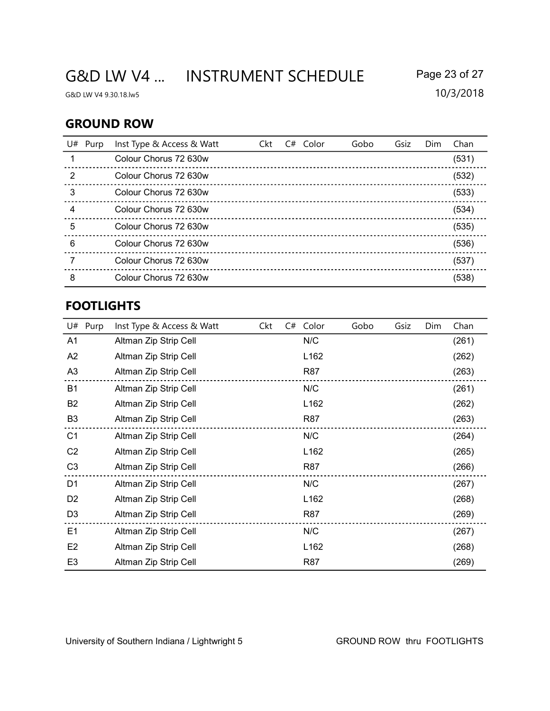# G&D LW V4 ... INSTRUMENT SCHEDULE Page 23 of 27

G&D LW V4 9.30.18.lw5 10/3/2018

### GROUND ROW

| U# | Purp | Inst Type & Access & Watt | Ckt | $C#$ Color | Gobo | Gsiz | Dim | Chan  |
|----|------|---------------------------|-----|------------|------|------|-----|-------|
|    |      | Colour Chorus 72 630w     |     |            |      |      |     | (531) |
| 2  |      | Colour Chorus 72 630w     |     |            |      |      |     | (532) |
| 3  |      | Colour Chorus 72 630w     |     |            |      |      |     | (533) |
| 4  |      | Colour Chorus 72 630w     |     |            |      |      |     | (534) |
| 5  |      | Colour Chorus 72 630w     |     |            |      |      |     | (535) |
| 6  |      | Colour Chorus 72 630w     |     |            |      |      |     | (536) |
|    |      | Colour Chorus 72 630w     |     |            |      |      |     | (537) |
| 8  |      | Colour Chorus 72 630w     |     |            |      |      |     | (538) |

#### FOOTLIGHTS

| U#             | Purp | Inst Type & Access & Watt | Ckt | C# | Color      | Gobo | Gsiz | Dim | Chan  |
|----------------|------|---------------------------|-----|----|------------|------|------|-----|-------|
| A <sub>1</sub> |      | Altman Zip Strip Cell     |     |    | N/C        |      |      |     | (261) |
| A2             |      | Altman Zip Strip Cell     |     |    | L162       |      |      |     | (262) |
| A <sub>3</sub> |      | Altman Zip Strip Cell     |     |    | <b>R87</b> |      |      |     | (263) |
| B <sub>1</sub> |      | Altman Zip Strip Cell     |     |    | N/C        |      |      |     | (261) |
| <b>B2</b>      |      | Altman Zip Strip Cell     |     |    | L162       |      |      |     | (262) |
| B <sub>3</sub> |      | Altman Zip Strip Cell     |     |    | <b>R87</b> |      |      |     | (263) |
| C <sub>1</sub> |      | Altman Zip Strip Cell     |     |    | N/C        |      |      |     | (264) |
| C <sub>2</sub> |      | Altman Zip Strip Cell     |     |    | L162       |      |      |     | (265) |
| C <sub>3</sub> |      | Altman Zip Strip Cell     |     |    | <b>R87</b> |      |      |     | (266) |
| D <sub>1</sub> |      | Altman Zip Strip Cell     |     |    | N/C        |      |      |     | (267) |
| D <sub>2</sub> |      | Altman Zip Strip Cell     |     |    | L162       |      |      |     | (268) |
| D <sub>3</sub> |      | Altman Zip Strip Cell     |     |    | <b>R87</b> |      |      |     | (269) |
| E <sub>1</sub> |      | Altman Zip Strip Cell     |     |    | N/C        |      |      |     | (267) |
| E <sub>2</sub> |      | Altman Zip Strip Cell     |     |    | L162       |      |      |     | (268) |
| E <sub>3</sub> |      | Altman Zip Strip Cell     |     |    | R87        |      |      |     | (269) |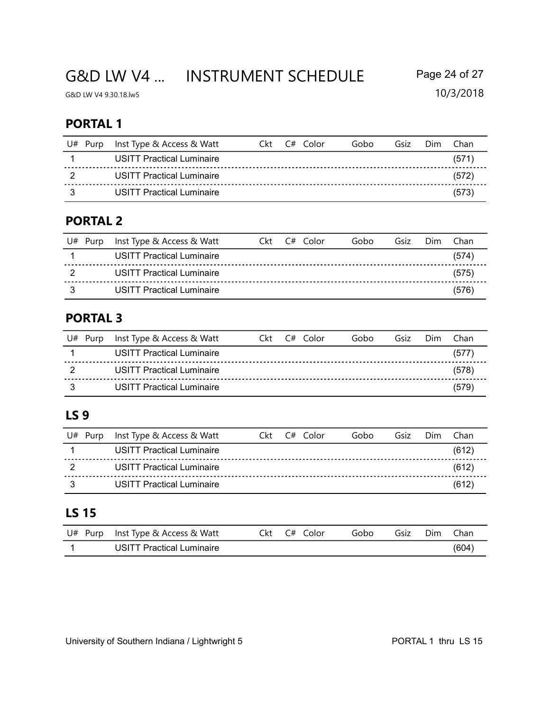# G&D LW V4 ... INSTRUMENT SCHEDULE Page 24 of 27

G&D LW V4 9.30.18.lw5 10/3/2018

## PORTAL 1

| U# Purp Inst Type & Access & Watt |  | Ckt C# Color | Gobo | Gsiz | Dim | - Chan |
|-----------------------------------|--|--------------|------|------|-----|--------|
| USITT Practical Luminaire         |  |              |      |      |     | (571)  |
| <b>USITT Practical Luminaire</b>  |  |              |      |      |     | (572)  |
| <b>USITT Practical Luminaire</b>  |  |              |      |      |     | (573)  |

## PORTAL 2

| U# Purp Inst Type & Access & Watt |  | Ckt C# Color | Gobo | Gsiz | Dim | - Chan |
|-----------------------------------|--|--------------|------|------|-----|--------|
| <b>USITT Practical Luminaire</b>  |  |              |      |      |     | (574)  |
| <b>USITT Practical Luminaire</b>  |  |              |      |      |     | (575)  |
| <b>USITT Practical Luminaire</b>  |  |              |      |      |     | (576)  |

## PORTAL 3

| U# Purp | Inst Type & Access & Watt        |  | Ckt C# Color | Gobo | Gsiz | Dim | - Chan |
|---------|----------------------------------|--|--------------|------|------|-----|--------|
|         | USITT Practical Luminaire        |  |              |      |      |     | (577)  |
|         | USITT Practical Luminaire        |  |              |      |      |     | (578)  |
|         | <b>USITT Practical Luminaire</b> |  |              |      |      |     | (579)  |

## LS 9

|    | U# Purp Inst Type & Access & Watt |  | Ckt C# Color | Gobo | Gsiz | Dim. | - Chan |
|----|-----------------------------------|--|--------------|------|------|------|--------|
|    | <b>USITT Practical Luminaire</b>  |  |              |      |      |      | (612)  |
|    | USITT Practical Luminaire         |  |              |      |      |      | (612)  |
| -3 | USITT Practical Luminaire         |  |              |      |      |      | (612)  |

## LS 15

| $U#$ Purp Inst Type & Access & Watt | Ckt C# Color | Gobo | Gsiz | Dim | Chan  |
|-------------------------------------|--------------|------|------|-----|-------|
| USITT Practical Luminaire           |              |      |      |     | (604) |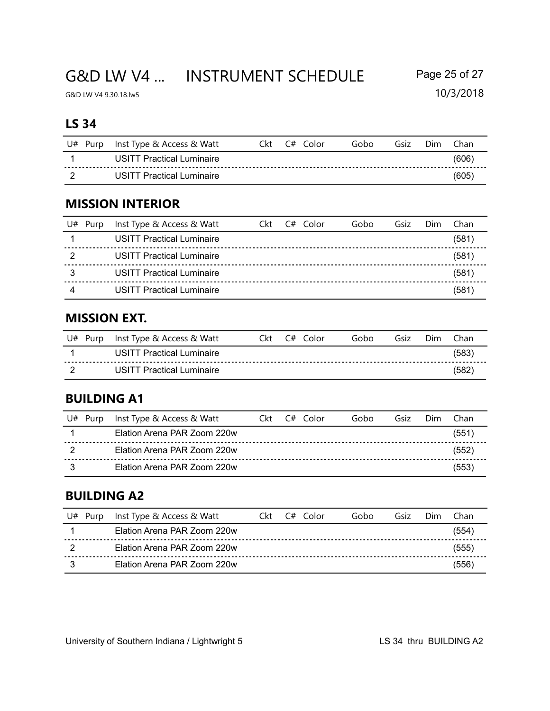G&D LW V4 ... INSTRUMENT SCHEDULE Page 25 of 27

## LS 34

| U# Purp Inst Type & Access & Watt |  | Ckt C# Color | Gobo | Gsiz | Dim. | Chan  |
|-----------------------------------|--|--------------|------|------|------|-------|
| USITT Practical Luminaire         |  |              |      |      |      | (606) |
| USITT Practical Luminaire         |  |              |      |      |      | (605) |

## MISSION INTERIOR

| U# Purp | Inst Type & Access & Watt        |  | Ckt C# Color | Gobo | Gsiz | Dim | Chan  |
|---------|----------------------------------|--|--------------|------|------|-----|-------|
|         | USITT Practical Luminaire        |  |              |      |      |     | (581) |
|         | <b>USITT Practical Luminaire</b> |  |              |      |      |     | (581) |
| 3       | <b>USITT Practical Luminaire</b> |  |              |      |      |     | (581) |
|         | <b>USITT Practical Luminaire</b> |  |              |      |      |     | (581  |

## MISSION EXT.

| U# Purp Inst Type & Access & Watt |  | Ckt C# Color | Gobo | Gsiz | Dim | Chan  |
|-----------------------------------|--|--------------|------|------|-----|-------|
| <b>USITT Practical Luminaire</b>  |  |              |      |      |     | (583) |
| USITT Practical Luminaire         |  |              |      |      |     | (582) |

## BUILDING A1

| U# Purp | Inst Type & Access & Watt   |  | Ckt C# Color | Gobo | Gsiz | Dim | Chan  |
|---------|-----------------------------|--|--------------|------|------|-----|-------|
|         | Elation Arena PAR Zoom 220w |  |              |      |      |     | (551) |
|         | Elation Arena PAR Zoom 220w |  |              |      |      |     | (552) |
|         | Elation Arena PAR Zoom 220w |  |              |      |      |     | (553) |

## BUILDING A2

| U#<br>Purp | Inst Type & Access & Watt   | Ckt. | C# Color | Gobo | Gsiz | Dim | Chan  |
|------------|-----------------------------|------|----------|------|------|-----|-------|
|            | Elation Arena PAR Zoom 220w |      |          |      |      |     | (554) |
|            | Elation Arena PAR Zoom 220w |      |          |      |      |     | (555) |
|            | Elation Arena PAR Zoom 220w |      |          |      |      |     | (556) |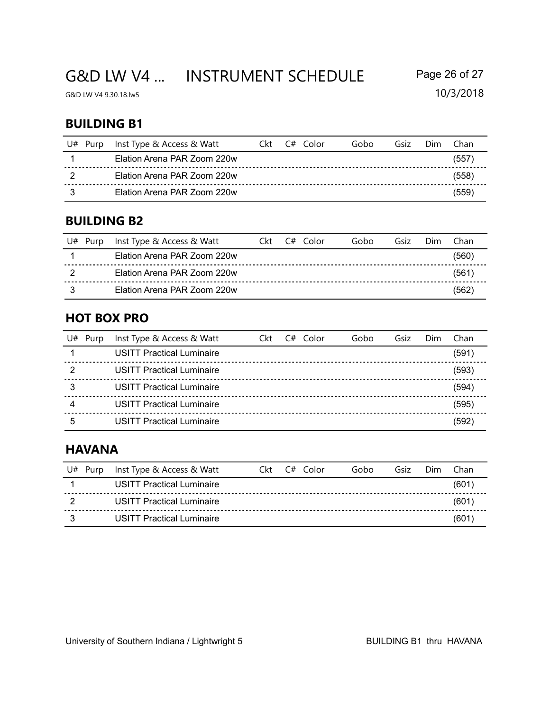# G&D LW V4 ... INSTRUMENT SCHEDULE Page 26 of 27

G&D LW V4 9.30.18.lw5 10/3/2018

#### BUILDING B1

| U# Purp Inst Type & Access & Watt |  | Ckt C# Color | Gobo | Gsiz | Dim | Chan  |
|-----------------------------------|--|--------------|------|------|-----|-------|
| Elation Arena PAR Zoom 220w       |  |              |      |      |     | (557) |
| Elation Arena PAR Zoom 220w       |  |              |      |      |     | (558) |
| Elation Arena PAR Zoom 220w       |  |              |      |      |     | (559) |

### BUILDING B2

| U# Purp Inst Type & Access & Watt |  | Ckt C# Color | Gobo | Gsiz | Dim. | Chan  |
|-----------------------------------|--|--------------|------|------|------|-------|
| Elation Arena PAR Zoom 220w       |  |              |      |      |      | (560) |
| Elation Arena PAR Zoom 220w       |  |              |      |      |      | (561) |
| Elation Arena PAR Zoom 220w       |  |              |      |      |      | (562) |

### HOT BOX PRO

|               | U# Purp | Inst Type & Access & Watt        |  | Ckt C# Color | Gobo | Gsiz | Dim | Chan  |
|---------------|---------|----------------------------------|--|--------------|------|------|-----|-------|
|               |         | <b>USITT Practical Luminaire</b> |  |              |      |      |     | (591) |
| $\mathcal{P}$ |         | <b>USITT Practical Luminaire</b> |  |              |      |      |     | (593) |
| 3             |         | <b>USITT Practical Luminaire</b> |  |              |      |      |     | (594) |
| 4             |         | <b>USITT Practical Luminaire</b> |  |              |      |      |     | (595) |
| 5             |         | <b>USITT Practical Luminaire</b> |  |              |      |      |     | (592) |

#### HAVANA

|     | U# Purp Inst Type & Access & Watt |  | Ckt C# Color | Gobo | Gsiz | Dim. | Chan  |
|-----|-----------------------------------|--|--------------|------|------|------|-------|
|     | <b>USITT Practical Luminaire</b>  |  |              |      |      |      | (601) |
| - 2 | <b>USITT Practical Luminaire</b>  |  |              |      |      |      | (601) |
| - 3 | <b>USITT Practical Luminaire</b>  |  |              |      |      |      | (601  |